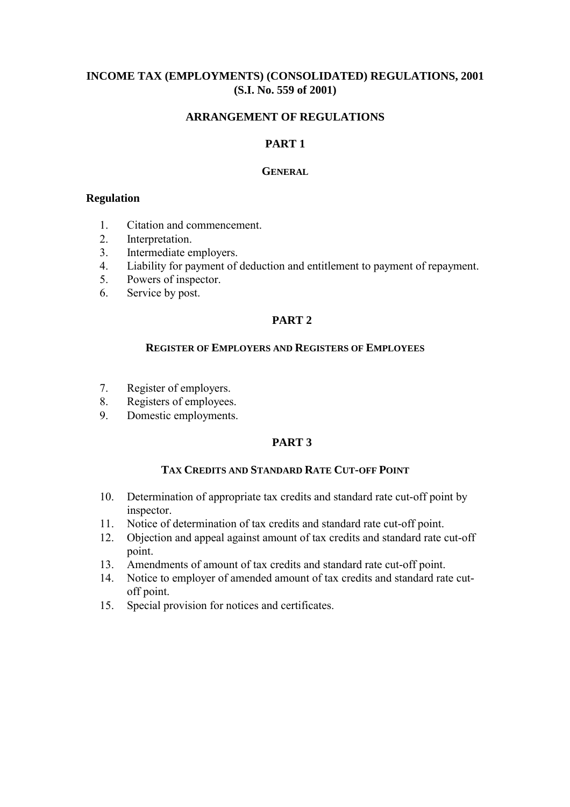# **INCOME TAX (EMPLOYMENTS) (CONSOLIDATED) REGULATIONS, 2001 (S.I. No. 559 of 2001)**

# **ARRANGEMENT OF REGULATIONS**

# **PART 1**

### **GENERAL**

## **Regulation**

- 1. Citation and commencement.
- 2. Interpretation.
- 3. Intermediate employers.
- 4. Liability for payment of deduction and entitlement to payment of repayment.
- 5. Powers of inspector.
- 6. Service by post.

# **PART 2**

## **REGISTER OF EMPLOYERS AND REGISTERS OF EMPLOYEES**

- 7. Register of employers.
- 8. Registers of employees.
- 9. Domestic employments.

# **PART 3**

## **TAX CREDITS AND STANDARD RATE CUT-OFF POINT**

- 10. Determination of appropriate tax credits and standard rate cut-off point by inspector.
- 11. Notice of determination of tax credits and standard rate cut-off point.
- 12. Objection and appeal against amount of tax credits and standard rate cut-off point.
- 13. Amendments of amount of tax credits and standard rate cut-off point.
- 14. Notice to employer of amended amount of tax credits and standard rate cutoff point.
- 15. Special provision for notices and certificates.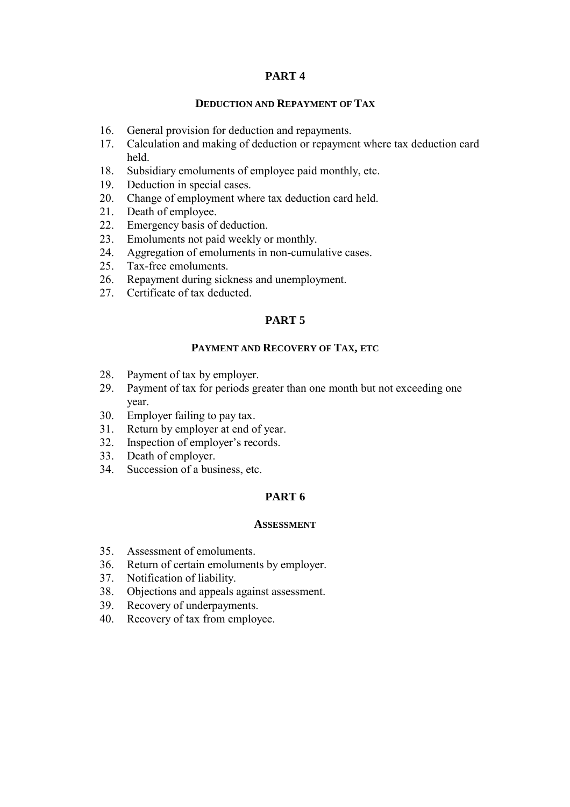# **PART 4**

## **DEDUCTION AND REPAYMENT OF TAX**

- 16. General provision for deduction and repayments.
- 17. Calculation and making of deduction or repayment where tax deduction card held.
- 18. Subsidiary emoluments of employee paid monthly, etc.
- 19. Deduction in special cases.
- 20. Change of employment where tax deduction card held.
- 21. Death of employee.
- 22. Emergency basis of deduction.
- 23. Emoluments not paid weekly or monthly.
- 24. Aggregation of emoluments in non-cumulative cases.
- 25. Tax-free emoluments.
- 26. Repayment during sickness and unemployment.
- 27. Certificate of tax deducted.

# **PART 5**

## **PAYMENT AND RECOVERY OF TAX, ETC**

- 28. Payment of tax by employer.
- 29. Payment of tax for periods greater than one month but not exceeding one year.
- 30. Employer failing to pay tax.
- 31. Return by employer at end of year.
- 32. Inspection of employer's records.
- 33. Death of employer.
- 34. Succession of a business, etc.

## **PART 6**

### **ASSESSMENT**

- 35. Assessment of emoluments.
- 36. Return of certain emoluments by employer.
- 37. Notification of liability.
- 38. Objections and appeals against assessment.
- 39. Recovery of underpayments.
- 40. Recovery of tax from employee.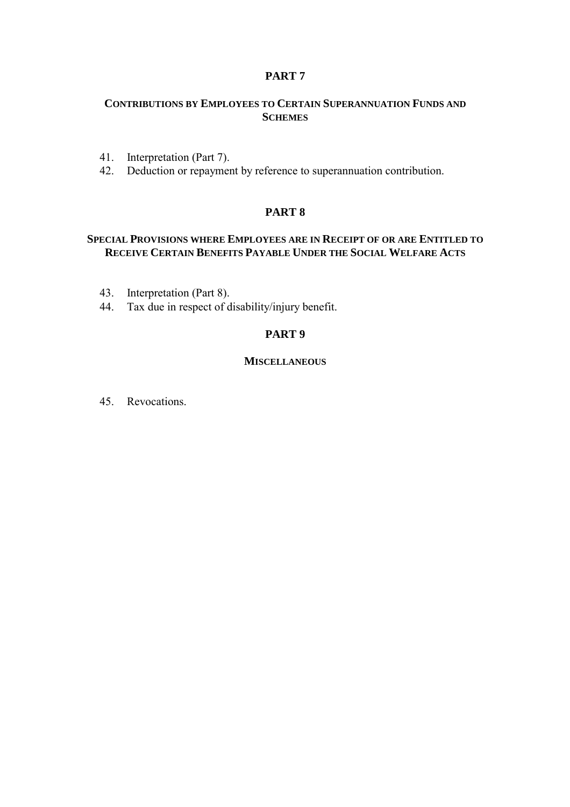# **PART 7**

# **CONTRIBUTIONS BY EMPLOYEES TO CERTAIN SUPERANNUATION FUNDS AND SCHEMES**

- 41. Interpretation (Part 7).
- 42. Deduction or repayment by reference to superannuation contribution.

## **PART 8**

# **SPECIAL PROVISIONS WHERE EMPLOYEES ARE IN RECEIPT OF OR ARE ENTITLED TO RECEIVE CERTAIN BENEFITS PAYABLE UNDER THE SOCIAL WELFARE ACTS**

- 43. Interpretation (Part 8).
- 44. Tax due in respect of disability/injury benefit.

# **PART 9**

## **MISCELLANEOUS**

45. Revocations.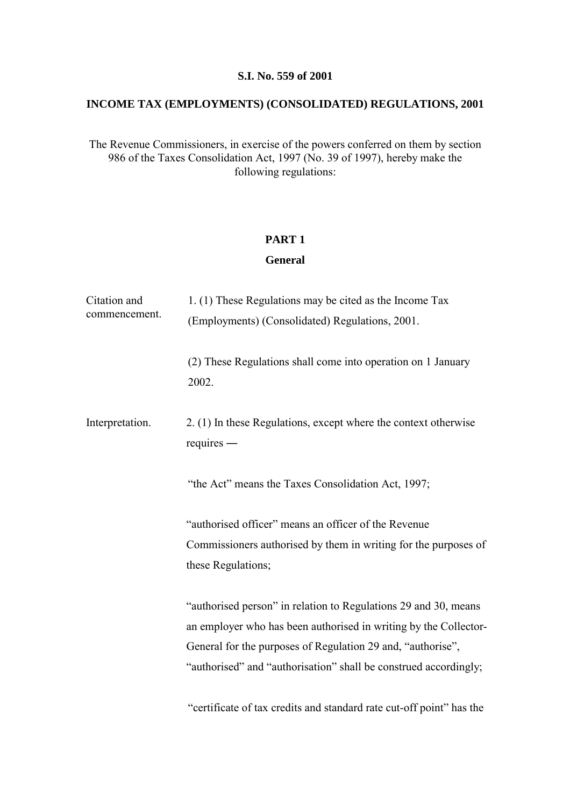## **S.I. No. 559 of 2001**

# **INCOME TAX (EMPLOYMENTS) (CONSOLIDATED) REGULATIONS, 2001**

The Revenue Commissioners, in exercise of the powers conferred on them by section 986 of the Taxes Consolidation Act, 1997 (No. 39 of 1997), hereby make the following regulations:

# **PART 1**

# **General**

| Citation and<br>commencement. | 1. (1) These Regulations may be cited as the Income Tax<br>(Employments) (Consolidated) Regulations, 2001.                                                                                                                                                             |
|-------------------------------|------------------------------------------------------------------------------------------------------------------------------------------------------------------------------------------------------------------------------------------------------------------------|
|                               | (2) These Regulations shall come into operation on 1 January<br>2002.                                                                                                                                                                                                  |
| Interpretation.               | 2. (1) In these Regulations, except where the context otherwise<br>$requires -$                                                                                                                                                                                        |
|                               | "the Act" means the Taxes Consolidation Act, 1997;                                                                                                                                                                                                                     |
|                               | "authorised officer" means an officer of the Revenue<br>Commissioners authorised by them in writing for the purposes of<br>these Regulations;                                                                                                                          |
|                               | "authorised person" in relation to Regulations 29 and 30, means<br>an employer who has been authorised in writing by the Collector-<br>General for the purposes of Regulation 29 and, "authorise",<br>"authorised" and "authorisation" shall be construed accordingly; |
|                               | "certificate of tax credits and standard rate cut-off point" has the                                                                                                                                                                                                   |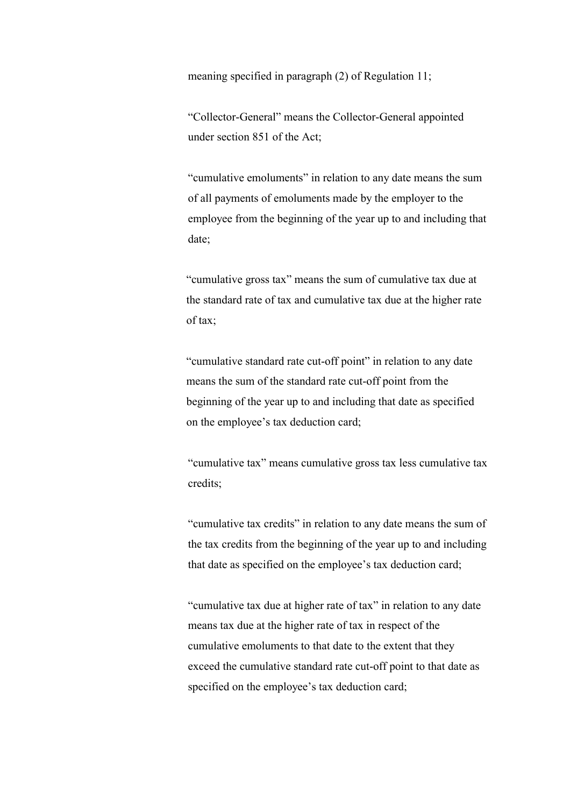meaning specified in paragraph (2) of Regulation 11;

"Collector-General" means the Collector-General appointed under section 851 of the Act;

"cumulative emoluments" in relation to any date means the sum of all payments of emoluments made by the employer to the employee from the beginning of the year up to and including that date;

"cumulative gross tax" means the sum of cumulative tax due at the standard rate of tax and cumulative tax due at the higher rate of tax;

"cumulative standard rate cut-off point" in relation to any date means the sum of the standard rate cut-off point from the beginning of the year up to and including that date as specified on the employee's tax deduction card;

"cumulative tax" means cumulative gross tax less cumulative tax credits;

"cumulative tax credits" in relation to any date means the sum of the tax credits from the beginning of the year up to and including that date as specified on the employee's tax deduction card;

"cumulative tax due at higher rate of tax" in relation to any date means tax due at the higher rate of tax in respect of the cumulative emoluments to that date to the extent that they exceed the cumulative standard rate cut-off point to that date as specified on the employee's tax deduction card;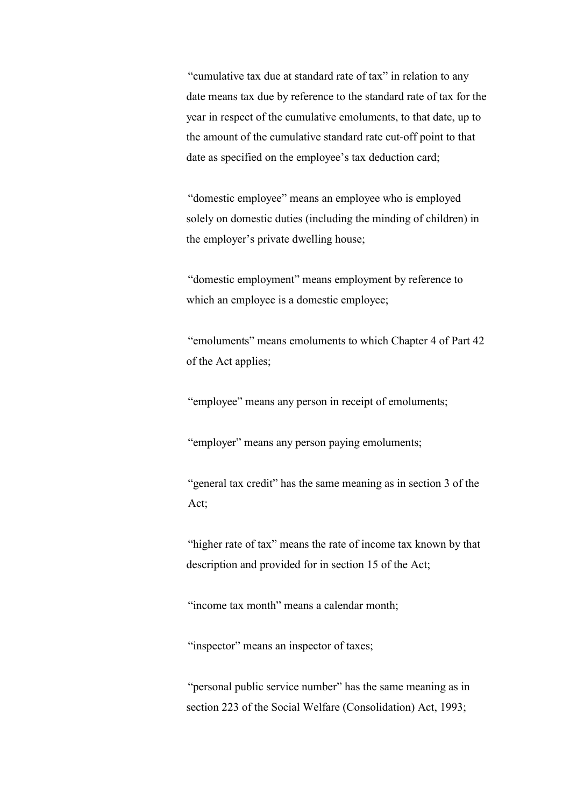"cumulative tax due at standard rate of tax" in relation to any date means tax due by reference to the standard rate of tax for the year in respect of the cumulative emoluments, to that date, up to the amount of the cumulative standard rate cut-off point to that date as specified on the employee's tax deduction card;

"domestic employee" means an employee who is employed solely on domestic duties (including the minding of children) in the employer's private dwelling house;

"domestic employment" means employment by reference to which an employee is a domestic employee;

"emoluments" means emoluments to which Chapter 4 of Part 42 of the Act applies;

"employee" means any person in receipt of emoluments;

"employer" means any person paying emoluments;

"general tax credit" has the same meaning as in section 3 of the Act;

"higher rate of tax" means the rate of income tax known by that description and provided for in section 15 of the Act;

"income tax month" means a calendar month;

"inspector" means an inspector of taxes;

"personal public service number" has the same meaning as in section 223 of the Social Welfare (Consolidation) Act, 1993;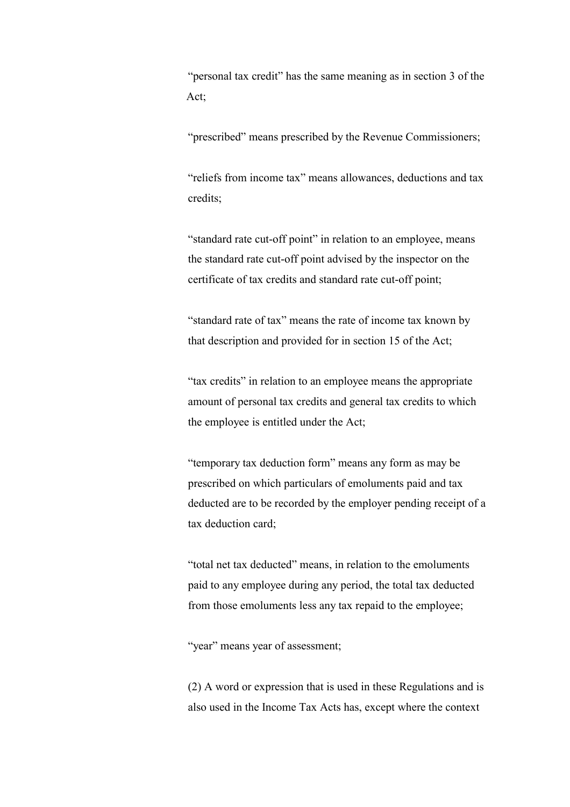"personal tax credit" has the same meaning as in section 3 of the Act;

"prescribed" means prescribed by the Revenue Commissioners;

"reliefs from income tax" means allowances, deductions and tax credits;

"standard rate cut-off point" in relation to an employee, means the standard rate cut-off point advised by the inspector on the certificate of tax credits and standard rate cut-off point;

"standard rate of tax" means the rate of income tax known by that description and provided for in section 15 of the Act;

"tax credits" in relation to an employee means the appropriate amount of personal tax credits and general tax credits to which the employee is entitled under the Act;

"temporary tax deduction form" means any form as may be prescribed on which particulars of emoluments paid and tax deducted are to be recorded by the employer pending receipt of a tax deduction card;

"total net tax deducted" means, in relation to the emoluments paid to any employee during any period, the total tax deducted from those emoluments less any tax repaid to the employee;

"year" means year of assessment;

(2) A word or expression that is used in these Regulations and is also used in the Income Tax Acts has, except where the context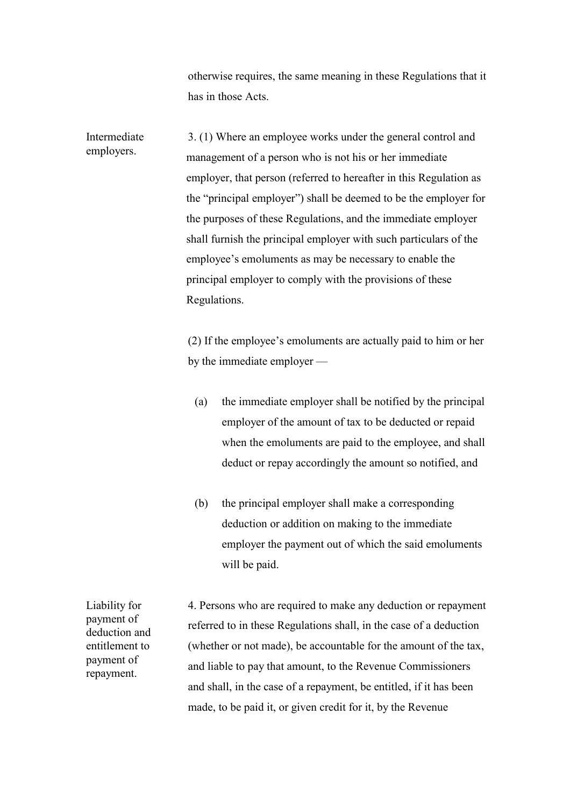otherwise requires, the same meaning in these Regulations that it has in those Acts.

Intermediate employers. 3. (1) Where an employee works under the general control and management of a person who is not his or her immediate employer, that person (referred to hereafter in this Regulation as the "principal employer") shall be deemed to be the employer for the purposes of these Regulations, and the immediate employer shall furnish the principal employer with such particulars of the employee's emoluments as may be necessary to enable the principal employer to comply with the provisions of these Regulations.

> (2) If the employee's emoluments are actually paid to him or her by the immediate employer —

- (a) the immediate employer shall be notified by the principal employer of the amount of tax to be deducted or repaid when the emoluments are paid to the employee, and shall deduct or repay accordingly the amount so notified, and
- (b) the principal employer shall make a corresponding deduction or addition on making to the immediate employer the payment out of which the said emoluments will be paid.

4. Persons who are required to make any deduction or repayment referred to in these Regulations shall, in the case of a deduction (whether or not made), be accountable for the amount of the tax, and liable to pay that amount, to the Revenue Commissioners and shall, in the case of a repayment, be entitled, if it has been made, to be paid it, or given credit for it, by the Revenue

Liability for payment of deduction and entitlement to payment of repayment.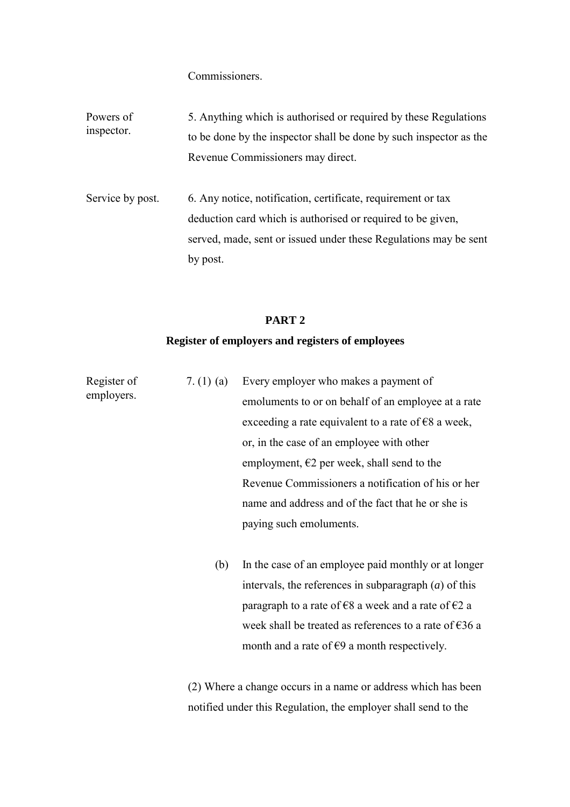Commissioners.

Powers of inspector. 5. Anything which is authorised or required by these Regulations to be done by the inspector shall be done by such inspector as the Revenue Commissioners may direct.

Service by post. 6. Any notice, notification, certificate, requirement or tax deduction card which is authorised or required to be given, served, made, sent or issued under these Regulations may be sent by post.

## **PART 2**

## **Register of employers and registers of employees**

| Register of<br>employers. | 7. $(1)$ $(a)$ | Every employer who makes a payment of                                   |
|---------------------------|----------------|-------------------------------------------------------------------------|
|                           |                | emoluments to or on behalf of an employee at a rate                     |
|                           |                | exceeding a rate equivalent to a rate of $\epsilon$ 8 a week,           |
|                           |                | or, in the case of an employee with other                               |
|                           |                | employment, $\epsilon$ 2 per week, shall send to the                    |
|                           |                | Revenue Commissioners a notification of his or her                      |
|                           |                | name and address and of the fact that he or she is                      |
|                           |                | paying such emoluments.                                                 |
|                           | (b)            | In the case of an employee paid monthly or at longer                    |
|                           |                | intervals, the references in subparagraph $(a)$ of this                 |
|                           |                | paragraph to a rate of $\epsilon$ 8 a week and a rate of $\epsilon$ 2 a |
|                           |                | week shall be treated as references to a rate of $\epsilon$ 36 a        |
|                           |                | month and a rate of $\epsilon$ 9 a month respectively.                  |
|                           |                |                                                                         |

(2) Where a change occurs in a name or address which has been notified under this Regulation, the employer shall send to the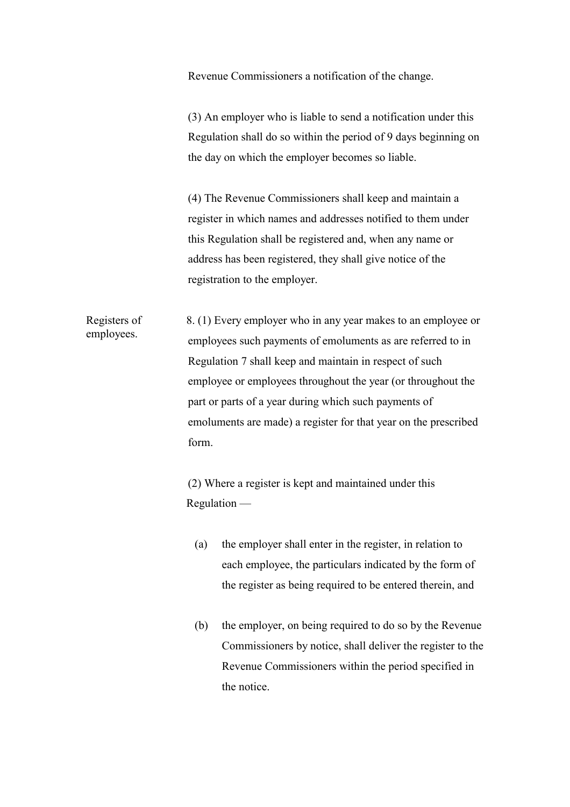Revenue Commissioners a notification of the change.

(3) An employer who is liable to send a notification under this Regulation shall do so within the period of 9 days beginning on the day on which the employer becomes so liable.

(4) The Revenue Commissioners shall keep and maintain a register in which names and addresses notified to them under this Regulation shall be registered and, when any name or address has been registered, they shall give notice of the registration to the employer.

Registers of employees. 8. (1) Every employer who in any year makes to an employee or employees such payments of emoluments as are referred to in Regulation 7 shall keep and maintain in respect of such employee or employees throughout the year (or throughout the part or parts of a year during which such payments of emoluments are made) a register for that year on the prescribed form.

> (2) Where a register is kept and maintained under this Regulation —

- (a) the employer shall enter in the register, in relation to each employee, the particulars indicated by the form of the register as being required to be entered therein, and
- (b) the employer, on being required to do so by the Revenue Commissioners by notice, shall deliver the register to the Revenue Commissioners within the period specified in the notice.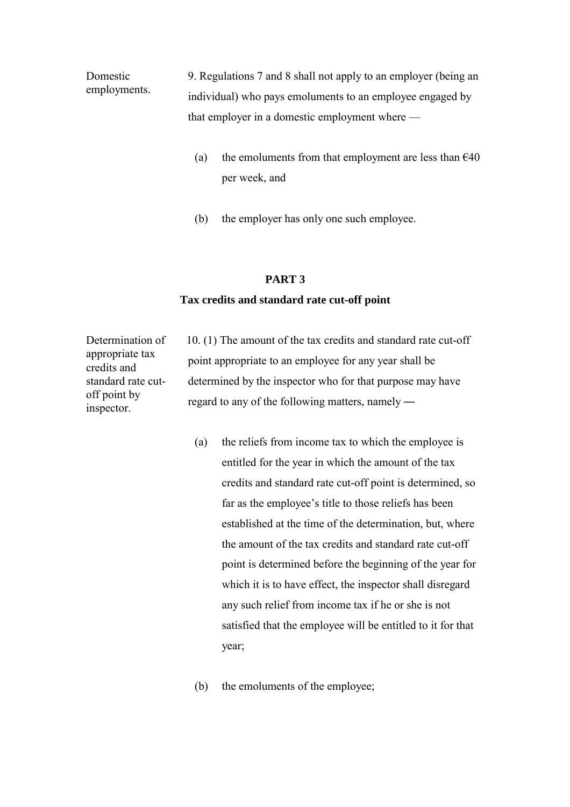Domestic employments. 9. Regulations 7 and 8 shall not apply to an employer (being an individual) who pays emoluments to an employee engaged by that employer in a domestic employment where —

- (a) the emoluments from that employment are less than  $\epsilon$ 40 per week, and
- (b) the employer has only one such employee.

## **PART 3**

## **Tax credits and standard rate cut-off point**

Determination of appropriate tax credits and standard rate cutoff point by inspector.

10. (1) The amount of the tax credits and standard rate cut-off point appropriate to an employee for any year shall be determined by the inspector who for that purpose may have regard to any of the following matters, namely ―

- (a) the reliefs from income tax to which the employee is entitled for the year in which the amount of the tax credits and standard rate cut-off point is determined, so far as the employee's title to those reliefs has been established at the time of the determination, but, where the amount of the tax credits and standard rate cut-off point is determined before the beginning of the year for which it is to have effect, the inspector shall disregard any such relief from income tax if he or she is not satisfied that the employee will be entitled to it for that year;
- (b) the emoluments of the employee;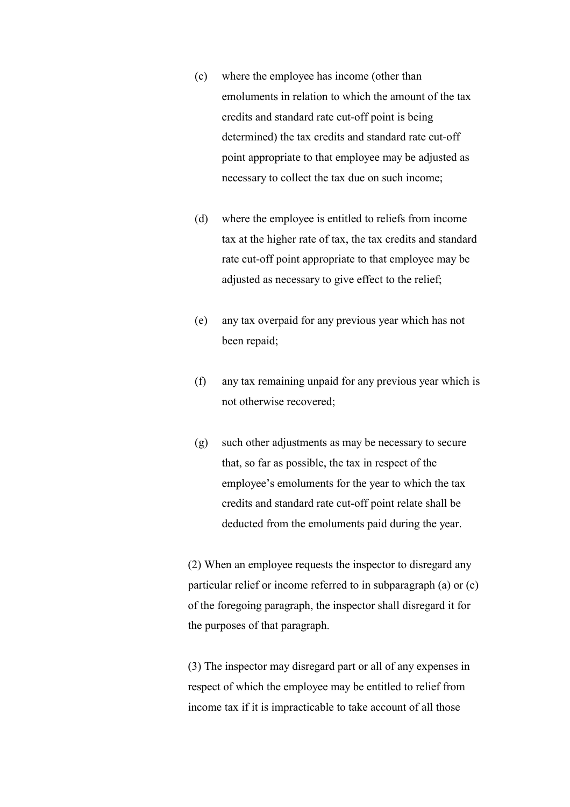- (c) where the employee has income (other than emoluments in relation to which the amount of the tax credits and standard rate cut-off point is being determined) the tax credits and standard rate cut-off point appropriate to that employee may be adjusted as necessary to collect the tax due on such income;
- (d) where the employee is entitled to reliefs from income tax at the higher rate of tax, the tax credits and standard rate cut-off point appropriate to that employee may be adjusted as necessary to give effect to the relief;
- (e) any tax overpaid for any previous year which has not been repaid;
- (f) any tax remaining unpaid for any previous year which is not otherwise recovered;
- (g) such other adjustments as may be necessary to secure that, so far as possible, the tax in respect of the employee's emoluments for the year to which the tax credits and standard rate cut-off point relate shall be deducted from the emoluments paid during the year.

(2) When an employee requests the inspector to disregard any particular relief or income referred to in subparagraph (a) or (c) of the foregoing paragraph, the inspector shall disregard it for the purposes of that paragraph.

(3) The inspector may disregard part or all of any expenses in respect of which the employee may be entitled to relief from income tax if it is impracticable to take account of all those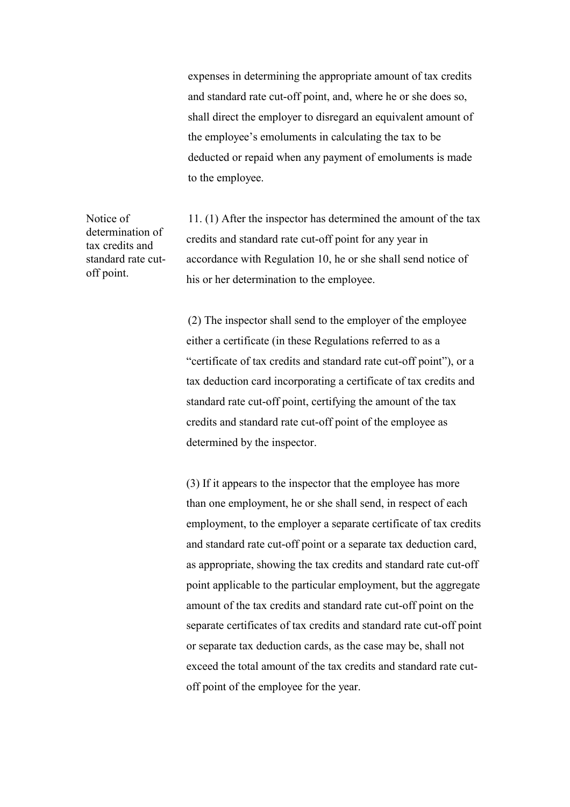expenses in determining the appropriate amount of tax credits and standard rate cut-off point, and, where he or she does so, shall direct the employer to disregard an equivalent amount of the employee's emoluments in calculating the tax to be deducted or repaid when any payment of emoluments is made to the employee.

Notice of determination of tax credits and standard rate cutoff point. 11. (1) After the inspector has determined the amount of the tax credits and standard rate cut-off point for any year in accordance with Regulation 10, he or she shall send notice of his or her determination to the employee.

> (2) The inspector shall send to the employer of the employee either a certificate (in these Regulations referred to as a "certificate of tax credits and standard rate cut-off point"), or a tax deduction card incorporating a certificate of tax credits and standard rate cut-off point, certifying the amount of the tax credits and standard rate cut-off point of the employee as determined by the inspector.

 (3) If it appears to the inspector that the employee has more than one employment, he or she shall send, in respect of each employment, to the employer a separate certificate of tax credits and standard rate cut-off point or a separate tax deduction card, as appropriate, showing the tax credits and standard rate cut-off point applicable to the particular employment, but the aggregate amount of the tax credits and standard rate cut-off point on the separate certificates of tax credits and standard rate cut-off point or separate tax deduction cards, as the case may be, shall not exceed the total amount of the tax credits and standard rate cutoff point of the employee for the year.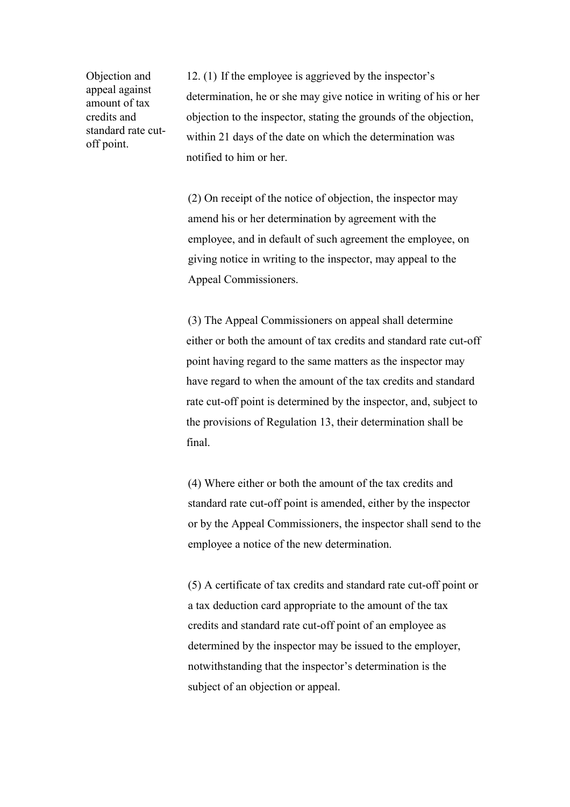Objection and appeal against amount of tax credits and standard rate cutoff point.

12. (1) If the employee is aggrieved by the inspector's determination, he or she may give notice in writing of his or her objection to the inspector, stating the grounds of the objection, within 21 days of the date on which the determination was notified to him or her.

(2) On receipt of the notice of objection, the inspector may amend his or her determination by agreement with the employee, and in default of such agreement the employee, on giving notice in writing to the inspector, may appeal to the Appeal Commissioners.

(3) The Appeal Commissioners on appeal shall determine either or both the amount of tax credits and standard rate cut-off point having regard to the same matters as the inspector may have regard to when the amount of the tax credits and standard rate cut-off point is determined by the inspector, and, subject to the provisions of Regulation 13, their determination shall be final.

(4) Where either or both the amount of the tax credits and standard rate cut-off point is amended, either by the inspector or by the Appeal Commissioners, the inspector shall send to the employee a notice of the new determination.

(5) A certificate of tax credits and standard rate cut-off point or a tax deduction card appropriate to the amount of the tax credits and standard rate cut-off point of an employee as determined by the inspector may be issued to the employer, notwithstanding that the inspector's determination is the subject of an objection or appeal.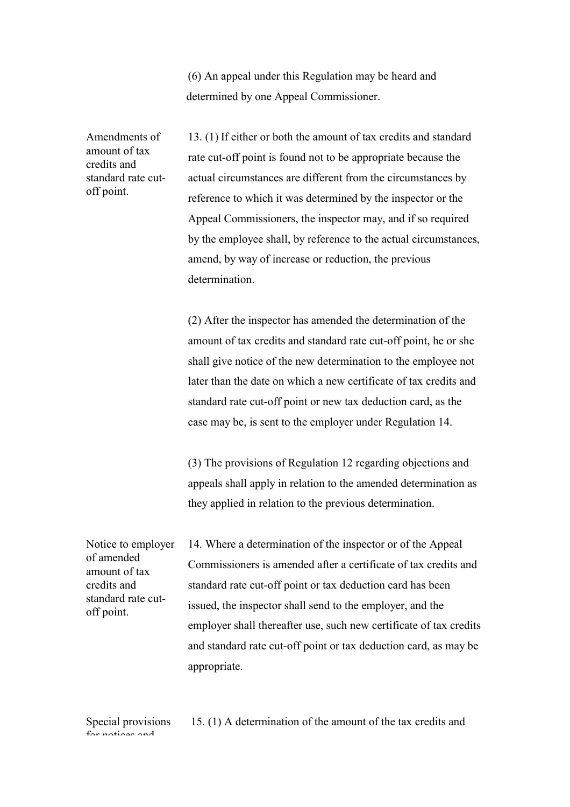(6) An appeal under this Regulation may be heard and determined by one Appeal Commissioner.

Amendments of amount of tax credits and standard rate cutoff point.

13. (1) If either or both the amount of tax credits and standard rate cut-off point is found not to be appropriate because the actual circumstances are different from the circumstances by reference to which it was determined by the inspector or the Appeal Commissioners, the inspector may, and if so required by the employee shall, by reference to the actual circumstances, amend, by way of increase or reduction, the previous determination.

(2) After the inspector has amended the determination of the amount of tax credits and standard rate cut-off point, he or she shall give notice of the new determination to the employee not later than the date on which a new certificate of tax credits and standard rate cut-off point or new tax deduction card, as the case may be, is sent to the employer under Regulation 14.

(3) The provisions of Regulation 12 regarding objections and appeals shall apply in relation to the amended determination as they applied in relation to the previous determination.

Notice to employer of amended amount of tax credits and standard rate cutoff point. 14. Where a determination of the inspector or of the Appeal Commissioners is amended after a certificate of tax credits and standard rate cut-off point or tax deduction card has been issued, the inspector shall send to the employer, and the employer shall thereafter use, such new certificate of tax credits and standard rate cut-off point or tax deduction card, as may be appropriate.

Special provisions for notions and

15. (1) A determination of the amount of the tax credits and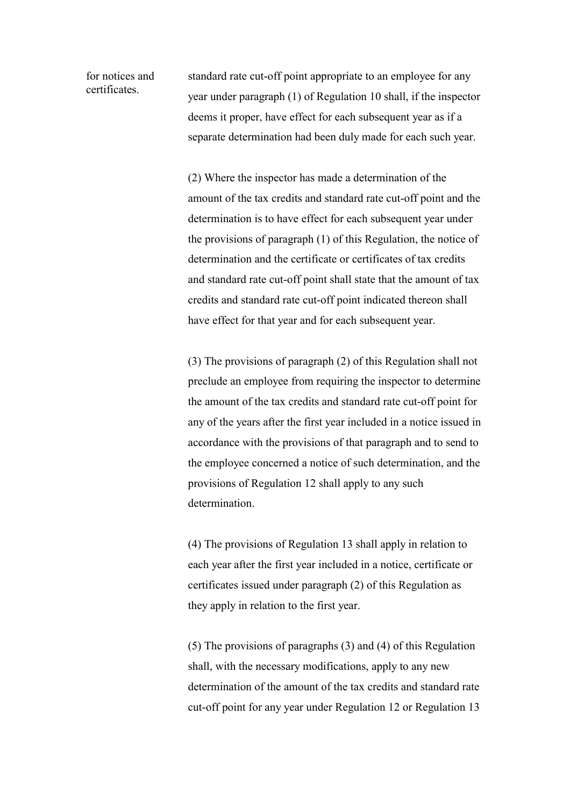for notices and certificates.

standard rate cut-off point appropriate to an employee for any year under paragraph (1) of Regulation 10 shall, if the inspector deems it proper, have effect for each subsequent year as if a separate determination had been duly made for each such year.

 (2) Where the inspector has made a determination of the amount of the tax credits and standard rate cut-off point and the determination is to have effect for each subsequent year under the provisions of paragraph (1) of this Regulation, the notice of determination and the certificate or certificates of tax credits and standard rate cut-off point shall state that the amount of tax credits and standard rate cut-off point indicated thereon shall have effect for that year and for each subsequent year.

 (3) The provisions of paragraph (2) of this Regulation shall not preclude an employee from requiring the inspector to determine the amount of the tax credits and standard rate cut-off point for any of the years after the first year included in a notice issued in accordance with the provisions of that paragraph and to send to the employee concerned a notice of such determination, and the provisions of Regulation 12 shall apply to any such determination.

 (4) The provisions of Regulation 13 shall apply in relation to each year after the first year included in a notice, certificate or certificates issued under paragraph (2) of this Regulation as they apply in relation to the first year.

 (5) The provisions of paragraphs (3) and (4) of this Regulation shall, with the necessary modifications, apply to any new determination of the amount of the tax credits and standard rate cut-off point for any year under Regulation 12 or Regulation 13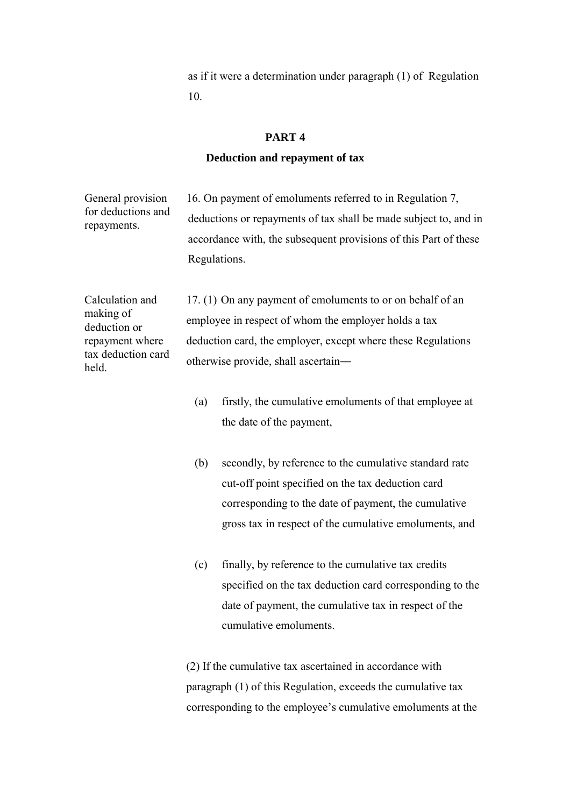as if it were a determination under paragraph (1) of Regulation 10.

## **PART 4**

### **Deduction and repayment of tax**

General provision for deductions and repayments. 16. On payment of emoluments referred to in Regulation 7, deductions or repayments of tax shall be made subject to, and in accordance with, the subsequent provisions of this Part of these Regulations.

Calculation and making of deduction or repayment where tax deduction card held.

17. (1) On any payment of emoluments to or on behalf of an employee in respect of whom the employer holds a tax deduction card, the employer, except where these Regulations otherwise provide, shall ascertain―

- (a) firstly, the cumulative emoluments of that employee at the date of the payment,
- (b) secondly, by reference to the cumulative standard rate cut-off point specified on the tax deduction card corresponding to the date of payment, the cumulative gross tax in respect of the cumulative emoluments, and
- (c) finally, by reference to the cumulative tax credits specified on the tax deduction card corresponding to the date of payment, the cumulative tax in respect of the cumulative emoluments.

 (2) If the cumulative tax ascertained in accordance with paragraph (1) of this Regulation, exceeds the cumulative tax corresponding to the employee's cumulative emoluments at the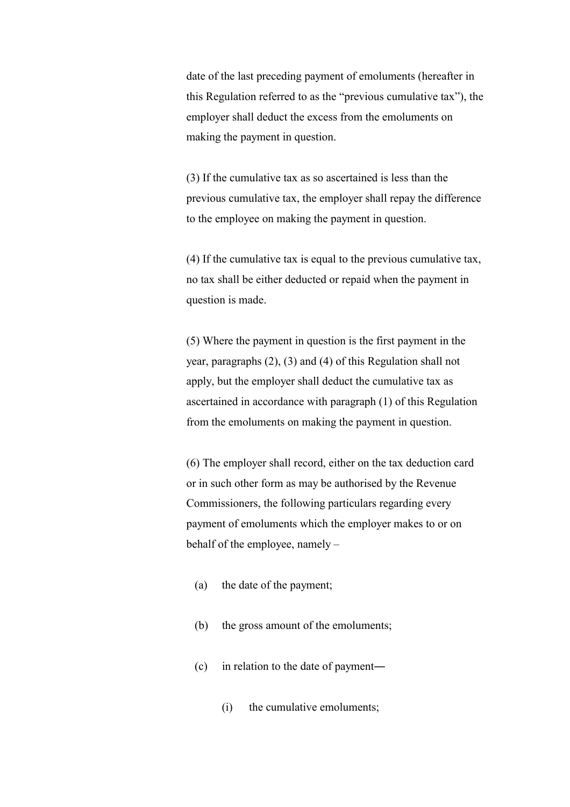date of the last preceding payment of emoluments (hereafter in this Regulation referred to as the "previous cumulative tax"), the employer shall deduct the excess from the emoluments on making the payment in question.

 (3) If the cumulative tax as so ascertained is less than the previous cumulative tax, the employer shall repay the difference to the employee on making the payment in question.

 (4) If the cumulative tax is equal to the previous cumulative tax, no tax shall be either deducted or repaid when the payment in question is made.

 (5) Where the payment in question is the first payment in the year, paragraphs (2), (3) and (4) of this Regulation shall not apply, but the employer shall deduct the cumulative tax as ascertained in accordance with paragraph (1) of this Regulation from the emoluments on making the payment in question.

 (6) The employer shall record, either on the tax deduction card or in such other form as may be authorised by the Revenue Commissioners, the following particulars regarding every payment of emoluments which the employer makes to or on behalf of the employee, namely –

- (a) the date of the payment;
- (b) the gross amount of the emoluments;
- (c) in relation to the date of payment―
	- (i) the cumulative emoluments;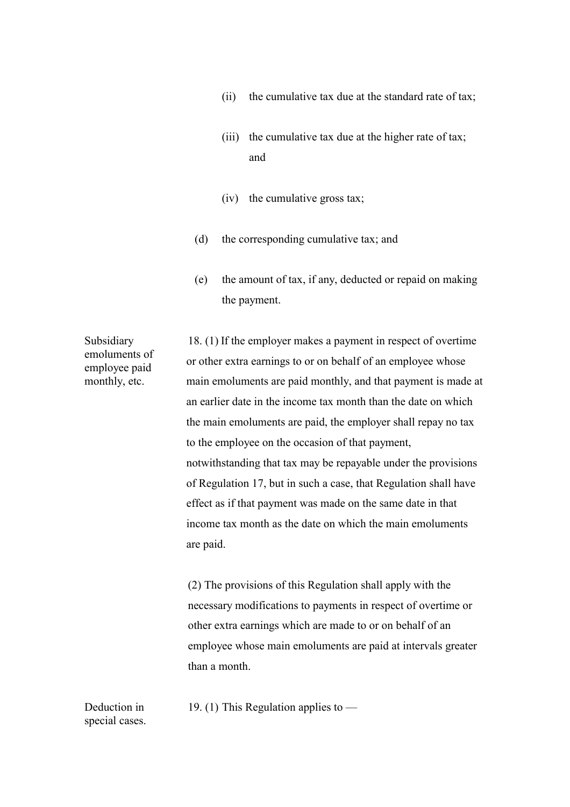- (ii) the cumulative tax due at the standard rate of tax;
- (iii) the cumulative tax due at the higher rate of tax; and
- (iv) the cumulative gross tax;
- (d) the corresponding cumulative tax; and
- (e) the amount of tax, if any, deducted or repaid on making the payment.

Subsidiary emoluments of employee paid monthly, etc.

18. (1) If the employer makes a payment in respect of overtime or other extra earnings to or on behalf of an employee whose main emoluments are paid monthly, and that payment is made at an earlier date in the income tax month than the date on which the main emoluments are paid, the employer shall repay no tax to the employee on the occasion of that payment, notwithstanding that tax may be repayable under the provisions of Regulation 17, but in such a case, that Regulation shall have effect as if that payment was made on the same date in that income tax month as the date on which the main emoluments are paid.

 (2) The provisions of this Regulation shall apply with the necessary modifications to payments in respect of overtime or other extra earnings which are made to or on behalf of an employee whose main emoluments are paid at intervals greater than a month.

19. (1) This Regulation applies to  $-$ 

Deduction in special cases.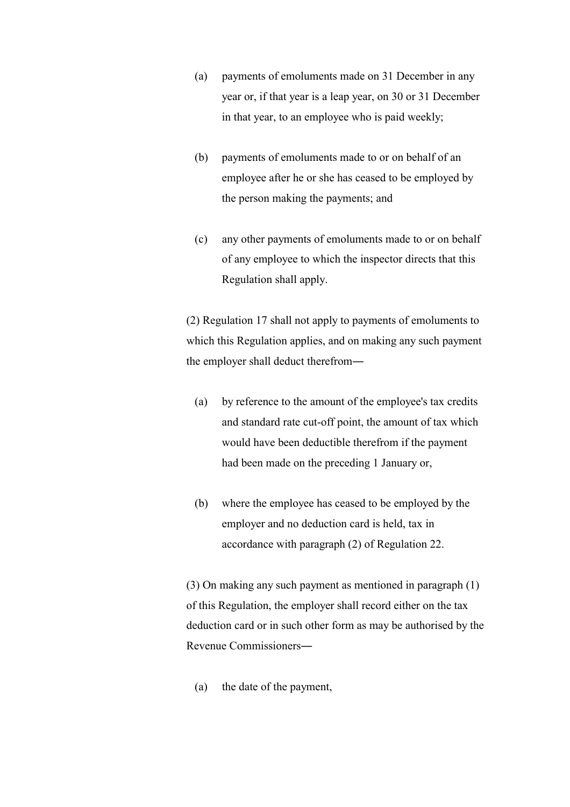- (a) payments of emoluments made on 31 December in any year or, if that year is a leap year, on 30 or 31 December in that year, to an employee who is paid weekly;
- (b) payments of emoluments made to or on behalf of an employee after he or she has ceased to be employed by the person making the payments; and
- (c) any other payments of emoluments made to or on behalf of any employee to which the inspector directs that this Regulation shall apply.

 (2) Regulation 17 shall not apply to payments of emoluments to which this Regulation applies, and on making any such payment the employer shall deduct therefrom―

- (a) by reference to the amount of the employee's tax credits and standard rate cut-off point, the amount of tax which would have been deductible therefrom if the payment had been made on the preceding 1 January or,
- (b) where the employee has ceased to be employed by the employer and no deduction card is held, tax in accordance with paragraph (2) of Regulation 22.

 (3) On making any such payment as mentioned in paragraph (1) of this Regulation, the employer shall record either on the tax deduction card or in such other form as may be authorised by the Revenue Commissioners―

(a) the date of the payment,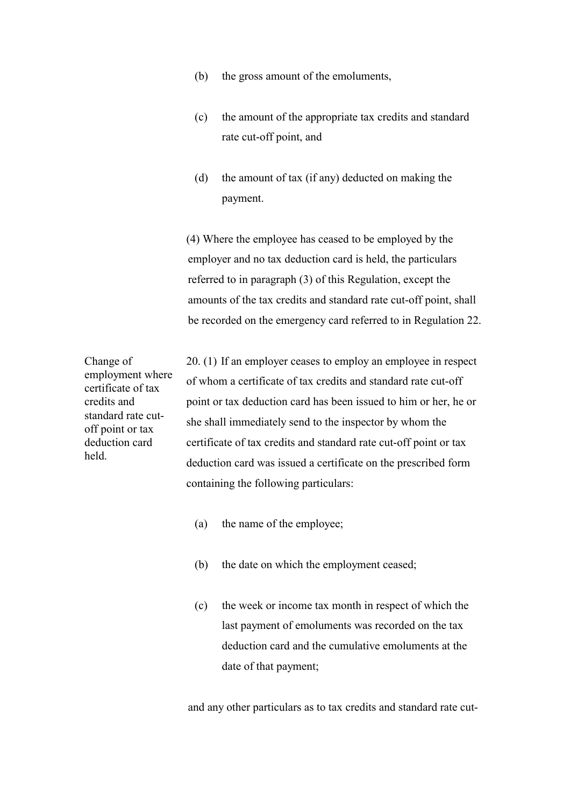- (b) the gross amount of the emoluments,
- (c) the amount of the appropriate tax credits and standard rate cut-off point, and
- (d) the amount of tax (if any) deducted on making the payment.

 (4) Where the employee has ceased to be employed by the employer and no tax deduction card is held, the particulars referred to in paragraph (3) of this Regulation, except the amounts of the tax credits and standard rate cut-off point, shall be recorded on the emergency card referred to in Regulation 22.

Change of employment where certificate of tax credits and standard rate cutoff point or tax deduction card held.

20. (1) If an employer ceases to employ an employee in respect of whom a certificate of tax credits and standard rate cut-off point or tax deduction card has been issued to him or her, he or she shall immediately send to the inspector by whom the certificate of tax credits and standard rate cut-off point or tax deduction card was issued a certificate on the prescribed form containing the following particulars:

- (a) the name of the employee;
- (b) the date on which the employment ceased;
- (c) the week or income tax month in respect of which the last payment of emoluments was recorded on the tax deduction card and the cumulative emoluments at the date of that payment;

and any other particulars as to tax credits and standard rate cut-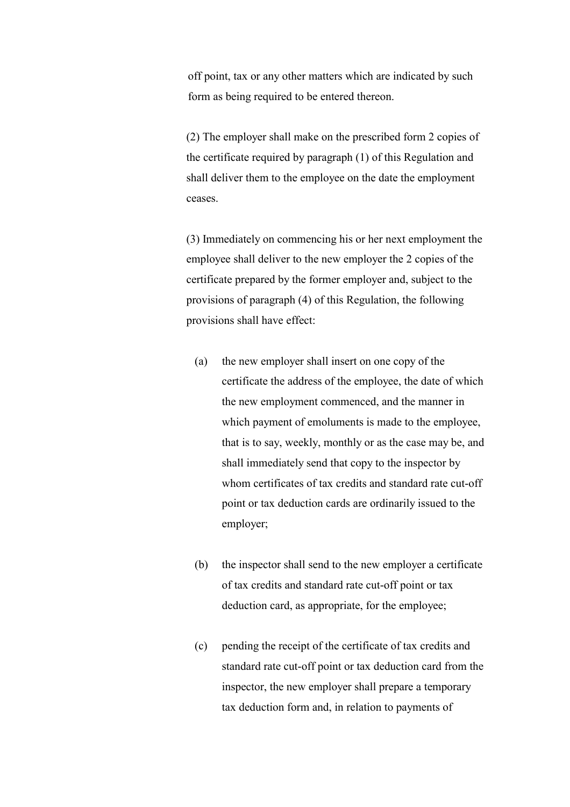off point, tax or any other matters which are indicated by such form as being required to be entered thereon.

 (2) The employer shall make on the prescribed form 2 copies of the certificate required by paragraph (1) of this Regulation and shall deliver them to the employee on the date the employment ceases.

 (3) Immediately on commencing his or her next employment the employee shall deliver to the new employer the 2 copies of the certificate prepared by the former employer and, subject to the provisions of paragraph (4) of this Regulation, the following provisions shall have effect:

- (a) the new employer shall insert on one copy of the certificate the address of the employee, the date of which the new employment commenced, and the manner in which payment of emoluments is made to the employee, that is to say, weekly, monthly or as the case may be, and shall immediately send that copy to the inspector by whom certificates of tax credits and standard rate cut-off point or tax deduction cards are ordinarily issued to the employer;
- (b) the inspector shall send to the new employer a certificate of tax credits and standard rate cut-off point or tax deduction card, as appropriate, for the employee;
- (c) pending the receipt of the certificate of tax credits and standard rate cut-off point or tax deduction card from the inspector, the new employer shall prepare a temporary tax deduction form and, in relation to payments of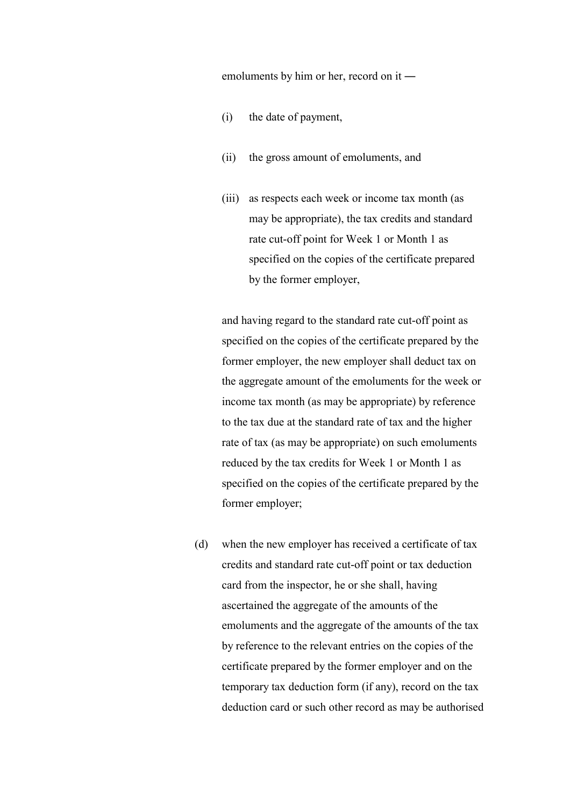emoluments by him or her, record on it ―

- (i) the date of payment,
- (ii) the gross amount of emoluments, and
- (iii) as respects each week or income tax month (as may be appropriate), the tax credits and standard rate cut-off point for Week 1 or Month 1 as specified on the copies of the certificate prepared by the former employer,

 and having regard to the standard rate cut-off point as specified on the copies of the certificate prepared by the former employer, the new employer shall deduct tax on the aggregate amount of the emoluments for the week or income tax month (as may be appropriate) by reference to the tax due at the standard rate of tax and the higher rate of tax (as may be appropriate) on such emoluments reduced by the tax credits for Week 1 or Month 1 as specified on the copies of the certificate prepared by the former employer;

 (d) when the new employer has received a certificate of tax credits and standard rate cut-off point or tax deduction card from the inspector, he or she shall, having ascertained the aggregate of the amounts of the emoluments and the aggregate of the amounts of the tax by reference to the relevant entries on the copies of the certificate prepared by the former employer and on the temporary tax deduction form (if any), record on the tax deduction card or such other record as may be authorised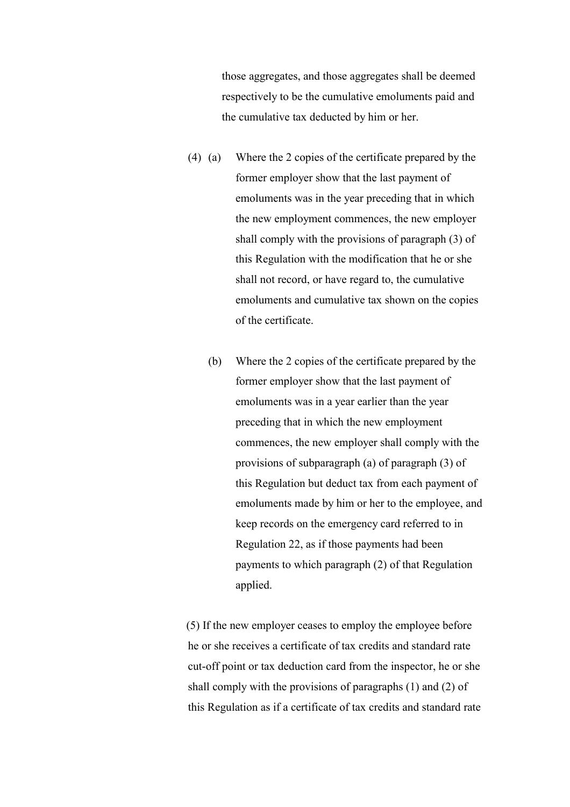those aggregates, and those aggregates shall be deemed respectively to be the cumulative emoluments paid and the cumulative tax deducted by him or her.

- (4) (a) Where the 2 copies of the certificate prepared by the former employer show that the last payment of emoluments was in the year preceding that in which the new employment commences, the new employer shall comply with the provisions of paragraph (3) of this Regulation with the modification that he or she shall not record, or have regard to, the cumulative emoluments and cumulative tax shown on the copies of the certificate.
	- (b) Where the 2 copies of the certificate prepared by the former employer show that the last payment of emoluments was in a year earlier than the year preceding that in which the new employment commences, the new employer shall comply with the provisions of subparagraph (a) of paragraph (3) of this Regulation but deduct tax from each payment of emoluments made by him or her to the employee, and keep records on the emergency card referred to in Regulation 22, as if those payments had been payments to which paragraph (2) of that Regulation applied.

 (5) If the new employer ceases to employ the employee before he or she receives a certificate of tax credits and standard rate cut-off point or tax deduction card from the inspector, he or she shall comply with the provisions of paragraphs (1) and (2) of this Regulation as if a certificate of tax credits and standard rate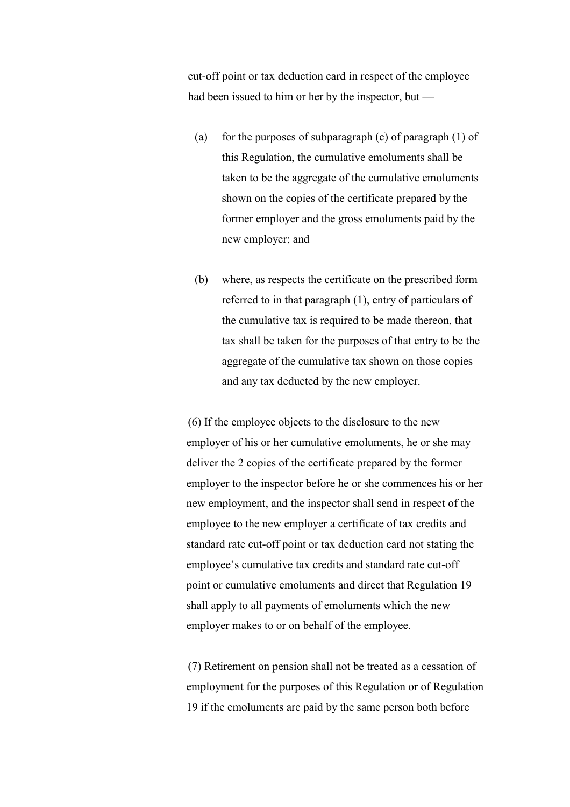cut-off point or tax deduction card in respect of the employee had been issued to him or her by the inspector, but —

- (a) for the purposes of subparagraph (c) of paragraph  $(1)$  of this Regulation, the cumulative emoluments shall be taken to be the aggregate of the cumulative emoluments shown on the copies of the certificate prepared by the former employer and the gross emoluments paid by the new employer; and
- (b) where, as respects the certificate on the prescribed form referred to in that paragraph (1), entry of particulars of the cumulative tax is required to be made thereon, that tax shall be taken for the purposes of that entry to be the aggregate of the cumulative tax shown on those copies and any tax deducted by the new employer.

 (6) If the employee objects to the disclosure to the new employer of his or her cumulative emoluments, he or she may deliver the 2 copies of the certificate prepared by the former employer to the inspector before he or she commences his or her new employment, and the inspector shall send in respect of the employee to the new employer a certificate of tax credits and standard rate cut-off point or tax deduction card not stating the employee's cumulative tax credits and standard rate cut-off point or cumulative emoluments and direct that Regulation 19 shall apply to all payments of emoluments which the new employer makes to or on behalf of the employee.

 (7) Retirement on pension shall not be treated as a cessation of employment for the purposes of this Regulation or of Regulation 19 if the emoluments are paid by the same person both before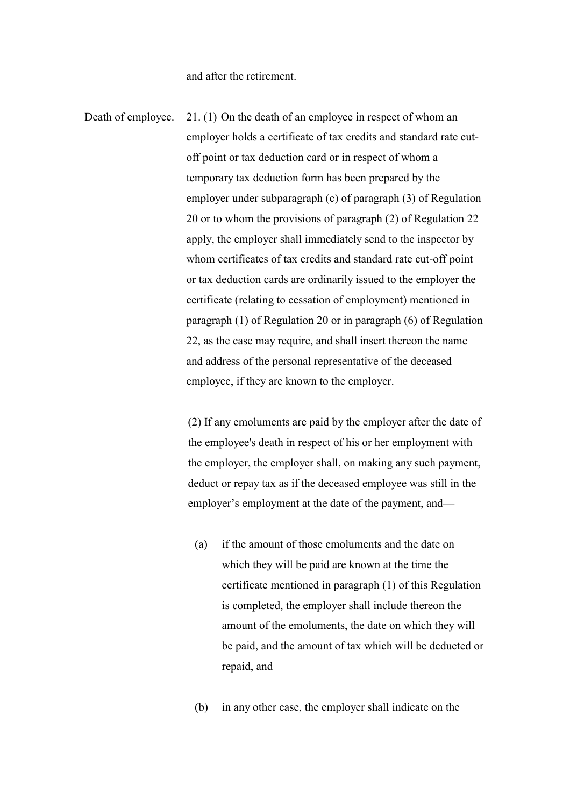and after the retirement.

Death of employee. 21. (1) On the death of an employee in respect of whom an employer holds a certificate of tax credits and standard rate cutoff point or tax deduction card or in respect of whom a temporary tax deduction form has been prepared by the employer under subparagraph (c) of paragraph (3) of Regulation 20 or to whom the provisions of paragraph (2) of Regulation 22 apply, the employer shall immediately send to the inspector by whom certificates of tax credits and standard rate cut-off point or tax deduction cards are ordinarily issued to the employer the certificate (relating to cessation of employment) mentioned in paragraph (1) of Regulation 20 or in paragraph (6) of Regulation 22, as the case may require, and shall insert thereon the name and address of the personal representative of the deceased employee, if they are known to the employer.

> (2) If any emoluments are paid by the employer after the date of the employee's death in respect of his or her employment with the employer, the employer shall, on making any such payment, deduct or repay tax as if the deceased employee was still in the employer's employment at the date of the payment, and—

- (a) if the amount of those emoluments and the date on which they will be paid are known at the time the certificate mentioned in paragraph (1) of this Regulation is completed, the employer shall include thereon the amount of the emoluments, the date on which they will be paid, and the amount of tax which will be deducted or repaid, and
- (b) in any other case, the employer shall indicate on the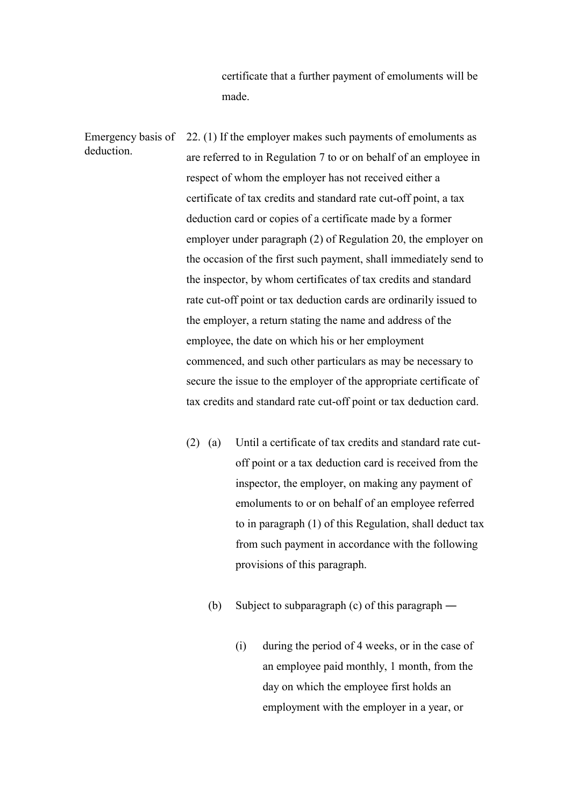certificate that a further payment of emoluments will be made.

Emergency basis of deduction. 22. (1) If the employer makes such payments of emoluments as are referred to in Regulation 7 to or on behalf of an employee in respect of whom the employer has not received either a certificate of tax credits and standard rate cut-off point, a tax deduction card or copies of a certificate made by a former employer under paragraph (2) of Regulation 20, the employer on the occasion of the first such payment, shall immediately send to the inspector, by whom certificates of tax credits and standard rate cut-off point or tax deduction cards are ordinarily issued to the employer, a return stating the name and address of the employee, the date on which his or her employment commenced, and such other particulars as may be necessary to secure the issue to the employer of the appropriate certificate of tax credits and standard rate cut-off point or tax deduction card.

- (2) (a) Until a certificate of tax credits and standard rate cutoff point or a tax deduction card is received from the inspector, the employer, on making any payment of emoluments to or on behalf of an employee referred to in paragraph (1) of this Regulation, shall deduct tax from such payment in accordance with the following provisions of this paragraph.
	- (b) Subject to subparagraph (c) of this paragraph ―
		- (i) during the period of 4 weeks, or in the case of an employee paid monthly, 1 month, from the day on which the employee first holds an employment with the employer in a year, or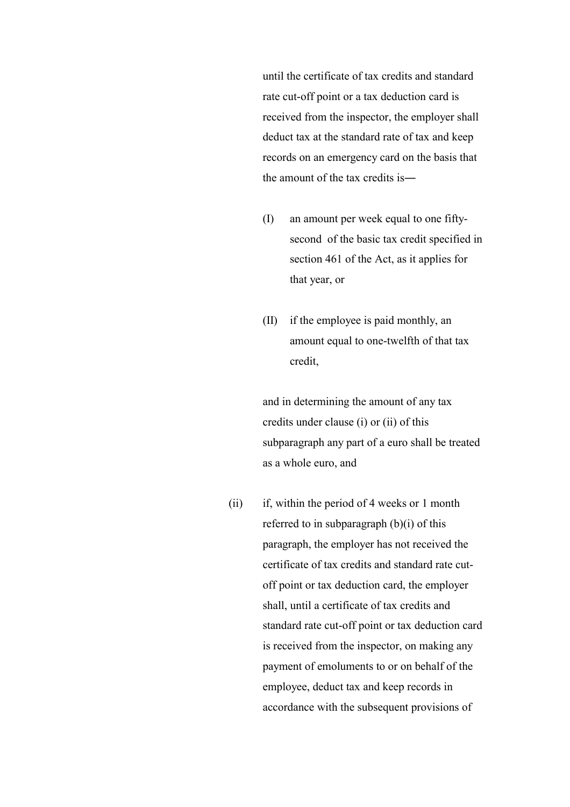until the certificate of tax credits and standard rate cut-off point or a tax deduction card is received from the inspector, the employer shall deduct tax at the standard rate of tax and keep records on an emergency card on the basis that the amount of the tax credits is―

- (I) an amount per week equal to one fiftysecond of the basic tax credit specified in section 461 of the Act, as it applies for that year, or
- (II) if the employee is paid monthly, an amount equal to one-twelfth of that tax credit,

and in determining the amount of any tax credits under clause (i) or (ii) of this subparagraph any part of a euro shall be treated as a whole euro, and

(ii) if, within the period of 4 weeks or 1 month referred to in subparagraph (b)(i) of this paragraph, the employer has not received the certificate of tax credits and standard rate cutoff point or tax deduction card, the employer shall, until a certificate of tax credits and standard rate cut-off point or tax deduction card is received from the inspector, on making any payment of emoluments to or on behalf of the employee, deduct tax and keep records in accordance with the subsequent provisions of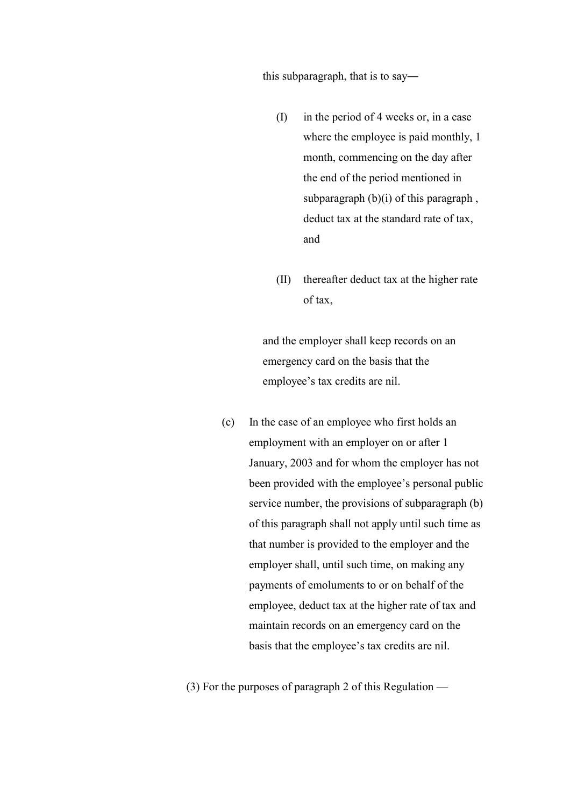this subparagraph, that is to say―

- (I) in the period of 4 weeks or, in a case where the employee is paid monthly, 1 month, commencing on the day after the end of the period mentioned in subparagraph (b)(i) of this paragraph, deduct tax at the standard rate of tax, and
- (II) thereafter deduct tax at the higher rate of tax,

and the employer shall keep records on an emergency card on the basis that the employee's tax credits are nil.

(c) In the case of an employee who first holds an employment with an employer on or after 1 January, 2003 and for whom the employer has not been provided with the employee's personal public service number, the provisions of subparagraph (b) of this paragraph shall not apply until such time as that number is provided to the employer and the employer shall, until such time, on making any payments of emoluments to or on behalf of the employee, deduct tax at the higher rate of tax and maintain records on an emergency card on the basis that the employee's tax credits are nil.

(3) For the purposes of paragraph 2 of this Regulation —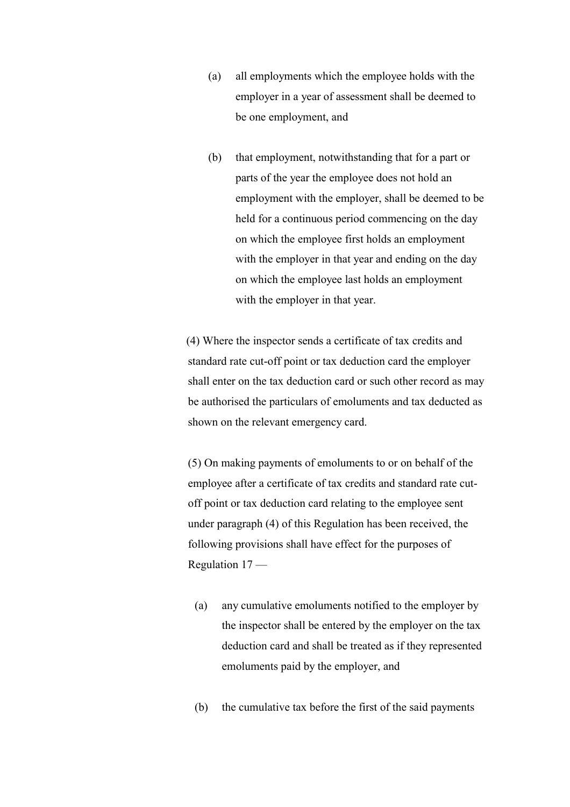- (a) all employments which the employee holds with the employer in a year of assessment shall be deemed to be one employment, and
- (b) that employment, notwithstanding that for a part or parts of the year the employee does not hold an employment with the employer, shall be deemed to be held for a continuous period commencing on the day on which the employee first holds an employment with the employer in that year and ending on the day on which the employee last holds an employment with the employer in that year.

 (4) Where the inspector sends a certificate of tax credits and standard rate cut-off point or tax deduction card the employer shall enter on the tax deduction card or such other record as may be authorised the particulars of emoluments and tax deducted as shown on the relevant emergency card.

 (5) On making payments of emoluments to or on behalf of the employee after a certificate of tax credits and standard rate cutoff point or tax deduction card relating to the employee sent under paragraph (4) of this Regulation has been received, the following provisions shall have effect for the purposes of Regulation 17 —

- (a) any cumulative emoluments notified to the employer by the inspector shall be entered by the employer on the tax deduction card and shall be treated as if they represented emoluments paid by the employer, and
- (b) the cumulative tax before the first of the said payments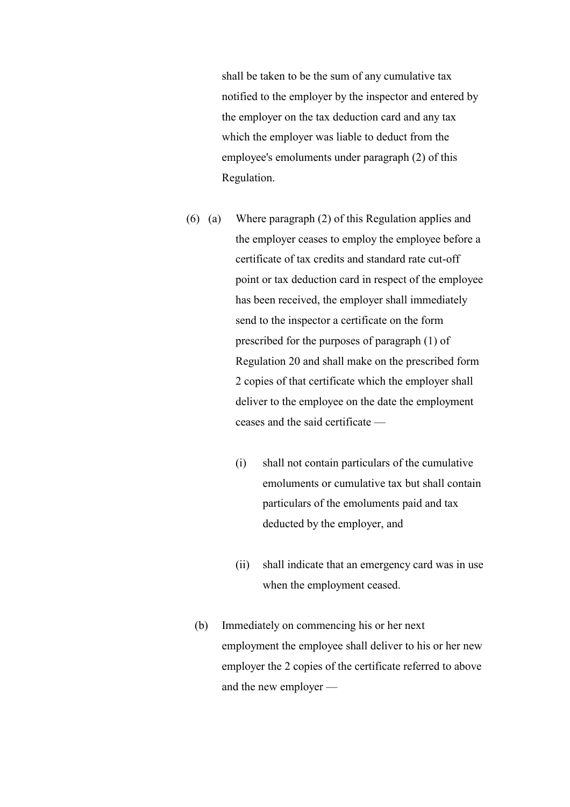shall be taken to be the sum of any cumulative tax notified to the employer by the inspector and entered by the employer on the tax deduction card and any tax which the employer was liable to deduct from the employee's emoluments under paragraph (2) of this Regulation.

- (6) (a) Where paragraph (2) of this Regulation applies and the employer ceases to employ the employee before a certificate of tax credits and standard rate cut-off point or tax deduction card in respect of the employee has been received, the employer shall immediately send to the inspector a certificate on the form prescribed for the purposes of paragraph (1) of Regulation 20 and shall make on the prescribed form 2 copies of that certificate which the employer shall deliver to the employee on the date the employment ceases and the said certificate —
	- (i) shall not contain particulars of the cumulative emoluments or cumulative tax but shall contain particulars of the emoluments paid and tax deducted by the employer, and
	- (ii) shall indicate that an emergency card was in use when the employment ceased.
	- (b) Immediately on commencing his or her next employment the employee shall deliver to his or her new employer the 2 copies of the certificate referred to above and the new employer —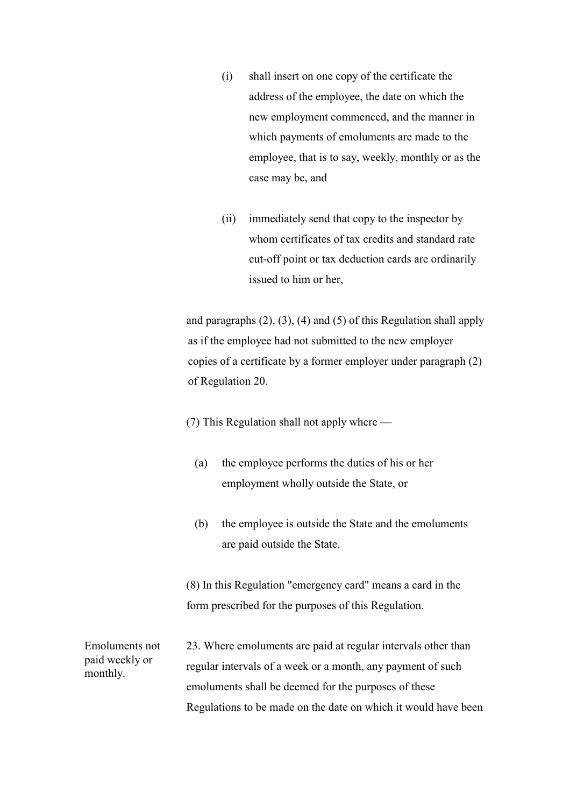- (i) shall insert on one copy of the certificate the address of the employee, the date on which the new employment commenced, and the manner in which payments of emoluments are made to the employee, that is to say, weekly, monthly or as the case may be, and
- (ii) immediately send that copy to the inspector by whom certificates of tax credits and standard rate cut-off point or tax deduction cards are ordinarily issued to him or her,

and paragraphs  $(2)$ ,  $(3)$ ,  $(4)$  and  $(5)$  of this Regulation shall apply as if the employee had not submitted to the new employer copies of a certificate by a former employer under paragraph (2) of Regulation 20.

- (7) This Regulation shall not apply where
	- (a) the employee performs the duties of his or her employment wholly outside the State, or
	- (b) the employee is outside the State and the emoluments are paid outside the State.

 (8) In this Regulation "emergency card" means a card in the form prescribed for the purposes of this Regulation.

Emoluments not paid weekly or monthly.

23. Where emoluments are paid at regular intervals other than regular intervals of a week or a month, any payment of such emoluments shall be deemed for the purposes of these Regulations to be made on the date on which it would have been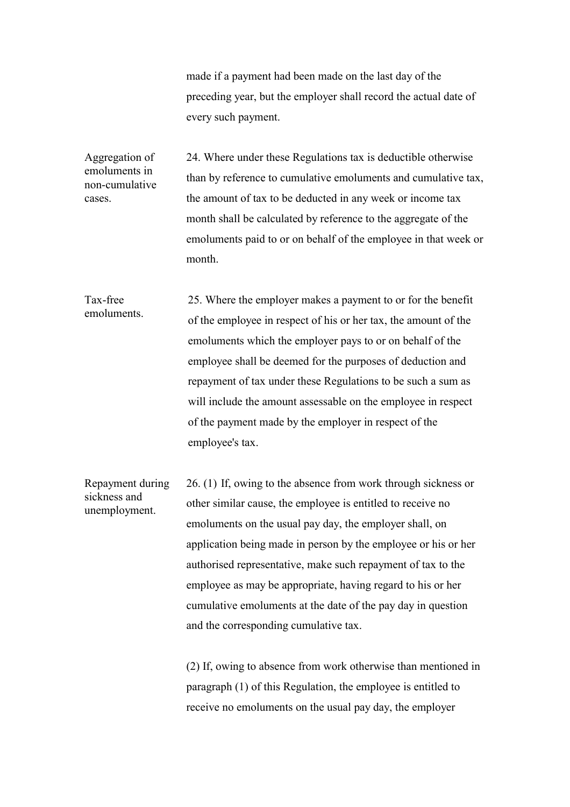made if a payment had been made on the last day of the preceding year, but the employer shall record the actual date of every such payment.

Aggregation of emoluments in non-cumulative cases. 24. Where under these Regulations tax is deductible otherwise than by reference to cumulative emoluments and cumulative tax, the amount of tax to be deducted in any week or income tax month shall be calculated by reference to the aggregate of the emoluments paid to or on behalf of the employee in that week or month.

Tax-free emoluments. 25. Where the employer makes a payment to or for the benefit of the employee in respect of his or her tax, the amount of the emoluments which the employer pays to or on behalf of the employee shall be deemed for the purposes of deduction and repayment of tax under these Regulations to be such a sum as will include the amount assessable on the employee in respect of the payment made by the employer in respect of the employee's tax.

Repayment during sickness and unemployment. 26. (1) If, owing to the absence from work through sickness or other similar cause, the employee is entitled to receive no emoluments on the usual pay day, the employer shall, on application being made in person by the employee or his or her authorised representative, make such repayment of tax to the employee as may be appropriate, having regard to his or her cumulative emoluments at the date of the pay day in question and the corresponding cumulative tax.

> (2) If, owing to absence from work otherwise than mentioned in paragraph (1) of this Regulation, the employee is entitled to receive no emoluments on the usual pay day, the employer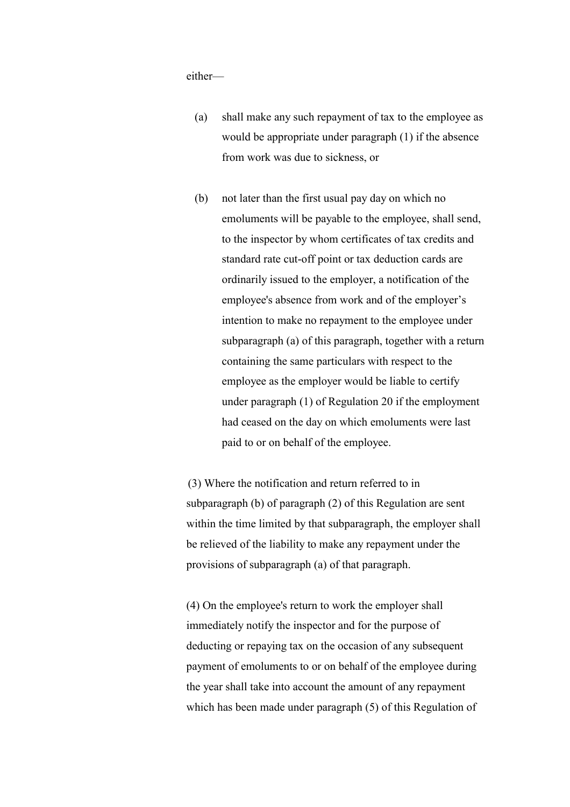either—

- (a) shall make any such repayment of tax to the employee as would be appropriate under paragraph (1) if the absence from work was due to sickness, or
- (b) not later than the first usual pay day on which no emoluments will be payable to the employee, shall send, to the inspector by whom certificates of tax credits and standard rate cut-off point or tax deduction cards are ordinarily issued to the employer, a notification of the employee's absence from work and of the employer's intention to make no repayment to the employee under subparagraph (a) of this paragraph, together with a return containing the same particulars with respect to the employee as the employer would be liable to certify under paragraph (1) of Regulation 20 if the employment had ceased on the day on which emoluments were last paid to or on behalf of the employee.

 (3) Where the notification and return referred to in subparagraph (b) of paragraph (2) of this Regulation are sent within the time limited by that subparagraph, the employer shall be relieved of the liability to make any repayment under the provisions of subparagraph (a) of that paragraph.

 (4) On the employee's return to work the employer shall immediately notify the inspector and for the purpose of deducting or repaying tax on the occasion of any subsequent payment of emoluments to or on behalf of the employee during the year shall take into account the amount of any repayment which has been made under paragraph (5) of this Regulation of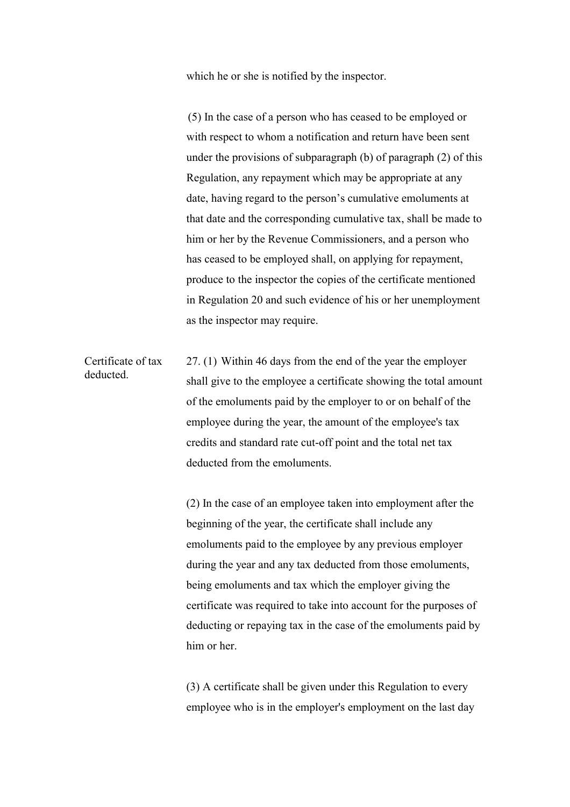which he or she is notified by the inspector.

 (5) In the case of a person who has ceased to be employed or with respect to whom a notification and return have been sent under the provisions of subparagraph (b) of paragraph (2) of this Regulation, any repayment which may be appropriate at any date, having regard to the person's cumulative emoluments at that date and the corresponding cumulative tax, shall be made to him or her by the Revenue Commissioners, and a person who has ceased to be employed shall, on applying for repayment, produce to the inspector the copies of the certificate mentioned in Regulation 20 and such evidence of his or her unemployment as the inspector may require.

Certificate of tax deducted. 27. (1) Within 46 days from the end of the year the employer shall give to the employee a certificate showing the total amount of the emoluments paid by the employer to or on behalf of the employee during the year, the amount of the employee's tax credits and standard rate cut-off point and the total net tax deducted from the emoluments.

> (2) In the case of an employee taken into employment after the beginning of the year, the certificate shall include any emoluments paid to the employee by any previous employer during the year and any tax deducted from those emoluments, being emoluments and tax which the employer giving the certificate was required to take into account for the purposes of deducting or repaying tax in the case of the emoluments paid by him or her

 (3) A certificate shall be given under this Regulation to every employee who is in the employer's employment on the last day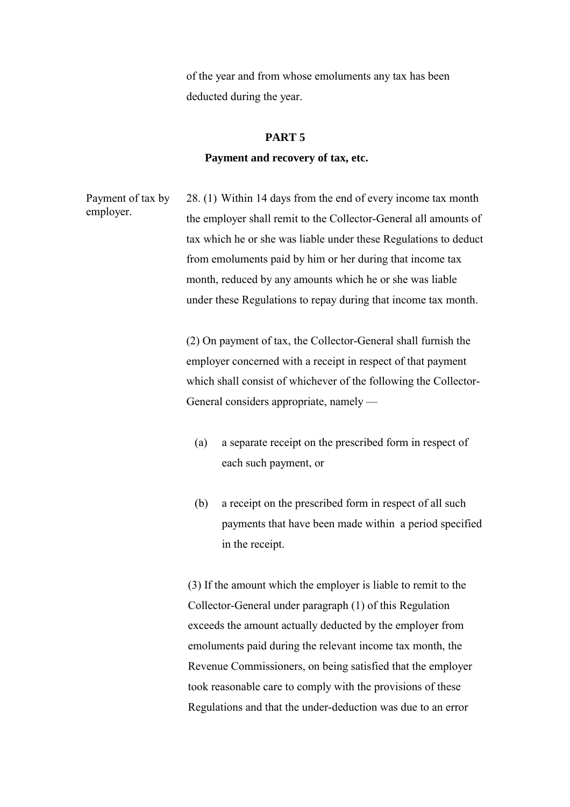of the year and from whose emoluments any tax has been deducted during the year.

### **PART 5**

#### **Payment and recovery of tax, etc.**

Payment of tax by employer. 28. (1) Within 14 days from the end of every income tax month the employer shall remit to the Collector-General all amounts of tax which he or she was liable under these Regulations to deduct from emoluments paid by him or her during that income tax month, reduced by any amounts which he or she was liable under these Regulations to repay during that income tax month.

> (2) On payment of tax, the Collector-General shall furnish the employer concerned with a receipt in respect of that payment which shall consist of whichever of the following the Collector-General considers appropriate, namely —

- (a) a separate receipt on the prescribed form in respect of each such payment, or
- (b) a receipt on the prescribed form in respect of all such payments that have been made within a period specified in the receipt.

 (3) If the amount which the employer is liable to remit to the Collector-General under paragraph (1) of this Regulation exceeds the amount actually deducted by the employer from emoluments paid during the relevant income tax month, the Revenue Commissioners, on being satisfied that the employer took reasonable care to comply with the provisions of these Regulations and that the under-deduction was due to an error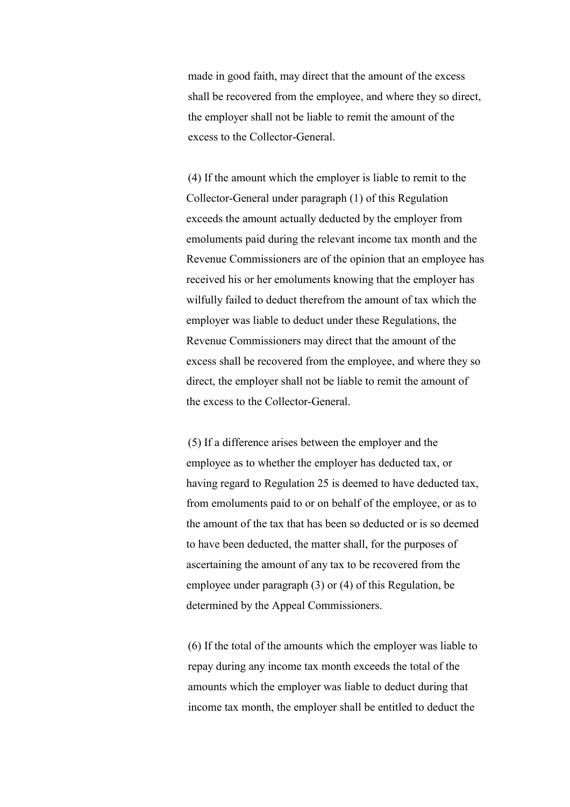made in good faith, may direct that the amount of the excess shall be recovered from the employee, and where they so direct, the employer shall not be liable to remit the amount of the excess to the Collector-General.

 (4) If the amount which the employer is liable to remit to the Collector-General under paragraph (1) of this Regulation exceeds the amount actually deducted by the employer from emoluments paid during the relevant income tax month and the Revenue Commissioners are of the opinion that an employee has received his or her emoluments knowing that the employer has wilfully failed to deduct therefrom the amount of tax which the employer was liable to deduct under these Regulations, the Revenue Commissioners may direct that the amount of the excess shall be recovered from the employee, and where they so direct, the employer shall not be liable to remit the amount of the excess to the Collector-General.

 (5) If a difference arises between the employer and the employee as to whether the employer has deducted tax, or having regard to Regulation 25 is deemed to have deducted tax, from emoluments paid to or on behalf of the employee, or as to the amount of the tax that has been so deducted or is so deemed to have been deducted, the matter shall, for the purposes of ascertaining the amount of any tax to be recovered from the employee under paragraph (3) or (4) of this Regulation, be determined by the Appeal Commissioners.

 (6) If the total of the amounts which the employer was liable to repay during any income tax month exceeds the total of the amounts which the employer was liable to deduct during that income tax month, the employer shall be entitled to deduct the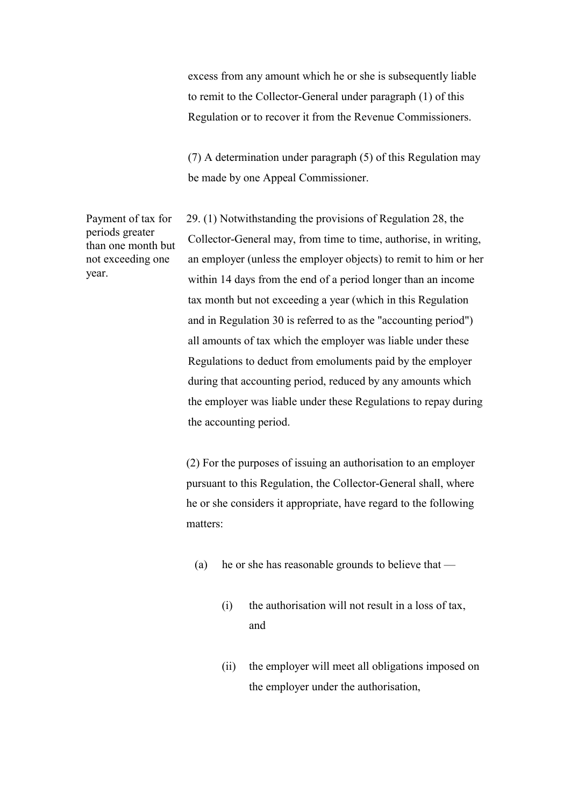excess from any amount which he or she is subsequently liable to remit to the Collector-General under paragraph (1) of this Regulation or to recover it from the Revenue Commissioners.

 (7) A determination under paragraph (5) of this Regulation may be made by one Appeal Commissioner.

Payment of tax for periods greater than one month but not exceeding one year.

29. (1) Notwithstanding the provisions of Regulation 28, the Collector-General may, from time to time, authorise, in writing, an employer (unless the employer objects) to remit to him or her within 14 days from the end of a period longer than an income tax month but not exceeding a year (which in this Regulation and in Regulation 30 is referred to as the "accounting period") all amounts of tax which the employer was liable under these Regulations to deduct from emoluments paid by the employer during that accounting period, reduced by any amounts which the employer was liable under these Regulations to repay during the accounting period.

 (2) For the purposes of issuing an authorisation to an employer pursuant to this Regulation, the Collector-General shall, where he or she considers it appropriate, have regard to the following matters:

- (a) he or she has reasonable grounds to believe that
	- (i) the authorisation will not result in a loss of tax, and
	- (ii) the employer will meet all obligations imposed on the employer under the authorisation,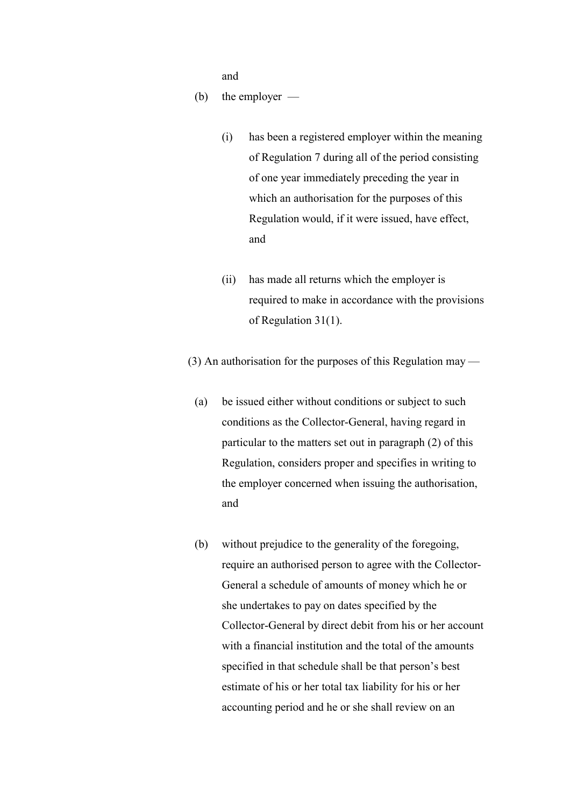and and state and state and state and state and state and state and state and state and state and state and state and state and state and state and state and state and state and state and state and state and state and stat

(b) the employer —

- (i) has been a registered employer within the meaning of Regulation 7 during all of the period consisting of one year immediately preceding the year in which an authorisation for the purposes of this Regulation would, if it were issued, have effect, and
- (ii) has made all returns which the employer is required to make in accordance with the provisions of Regulation 31(1).

(3) An authorisation for the purposes of this Regulation may —

- (a) be issued either without conditions or subject to such conditions as the Collector-General, having regard in particular to the matters set out in paragraph (2) of this Regulation, considers proper and specifies in writing to the employer concerned when issuing the authorisation, and
- (b) without prejudice to the generality of the foregoing, require an authorised person to agree with the Collector-General a schedule of amounts of money which he or she undertakes to pay on dates specified by the Collector-General by direct debit from his or her account with a financial institution and the total of the amounts specified in that schedule shall be that person's best estimate of his or her total tax liability for his or her accounting period and he or she shall review on an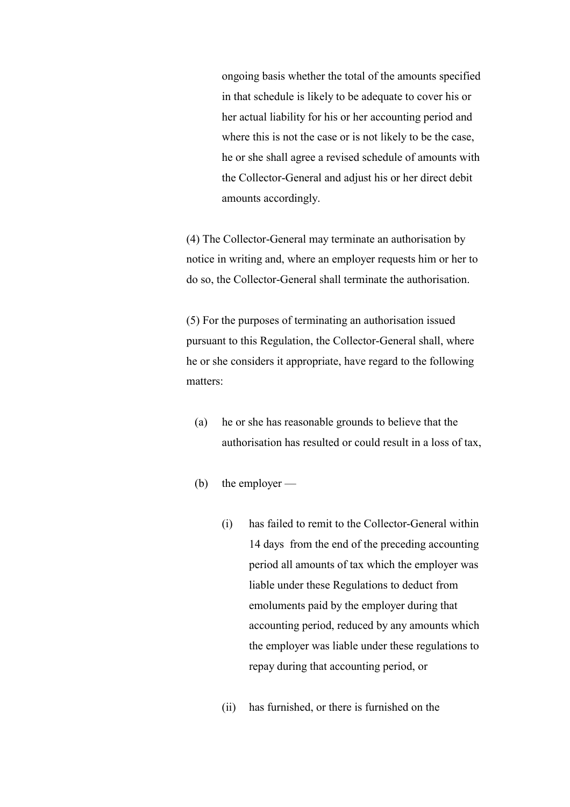ongoing basis whether the total of the amounts specified in that schedule is likely to be adequate to cover his or her actual liability for his or her accounting period and where this is not the case or is not likely to be the case, he or she shall agree a revised schedule of amounts with the Collector-General and adjust his or her direct debit amounts accordingly.

 (4) The Collector-General may terminate an authorisation by notice in writing and, where an employer requests him or her to do so, the Collector-General shall terminate the authorisation.

 (5) For the purposes of terminating an authorisation issued pursuant to this Regulation, the Collector-General shall, where he or she considers it appropriate, have regard to the following matters:

- (a) he or she has reasonable grounds to believe that the authorisation has resulted or could result in a loss of tax,
- (b) the employer
	- (i) has failed to remit to the Collector-General within 14 days from the end of the preceding accounting period all amounts of tax which the employer was liable under these Regulations to deduct from emoluments paid by the employer during that accounting period, reduced by any amounts which the employer was liable under these regulations to repay during that accounting period, or
	- (ii) has furnished, or there is furnished on the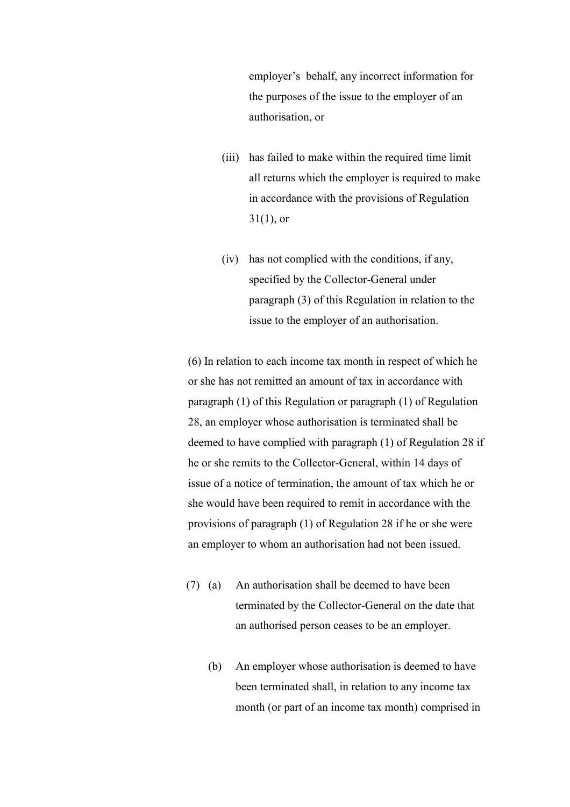employer's behalf, any incorrect information for the purposes of the issue to the employer of an authorisation, or

- (iii) has failed to make within the required time limit all returns which the employer is required to make in accordance with the provisions of Regulation  $31(1)$ , or
- (iv) has not complied with the conditions, if any, specified by the Collector-General under paragraph (3) of this Regulation in relation to the issue to the employer of an authorisation.

 (6) In relation to each income tax month in respect of which he or she has not remitted an amount of tax in accordance with paragraph (1) of this Regulation or paragraph (1) of Regulation 28, an employer whose authorisation is terminated shall be deemed to have complied with paragraph (1) of Regulation 28 if he or she remits to the Collector-General, within 14 days of issue of a notice of termination, the amount of tax which he or she would have been required to remit in accordance with the provisions of paragraph (1) of Regulation 28 if he or she were an employer to whom an authorisation had not been issued.

- (7) (a) An authorisation shall be deemed to have been terminated by the Collector-General on the date that an authorised person ceases to be an employer.
	- (b) An employer whose authorisation is deemed to have been terminated shall, in relation to any income tax month (or part of an income tax month) comprised in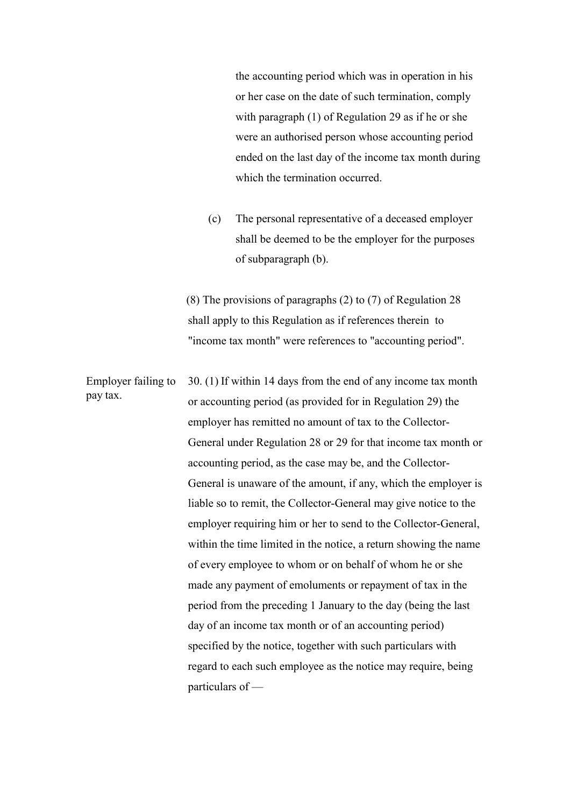the accounting period which was in operation in his or her case on the date of such termination, comply with paragraph (1) of Regulation 29 as if he or she were an authorised person whose accounting period ended on the last day of the income tax month during which the termination occurred.

 (c) The personal representative of a deceased employer shall be deemed to be the employer for the purposes of subparagraph (b).

 (8) The provisions of paragraphs (2) to (7) of Regulation 28 shall apply to this Regulation as if references therein to "income tax month" were references to "accounting period".

Employer failing to pay tax. 30. (1) If within 14 days from the end of any income tax month or accounting period (as provided for in Regulation 29) the employer has remitted no amount of tax to the Collector-General under Regulation 28 or 29 for that income tax month or accounting period, as the case may be, and the Collector-General is unaware of the amount, if any, which the employer is liable so to remit, the Collector-General may give notice to the employer requiring him or her to send to the Collector-General, within the time limited in the notice, a return showing the name of every employee to whom or on behalf of whom he or she made any payment of emoluments or repayment of tax in the period from the preceding 1 January to the day (being the last day of an income tax month or of an accounting period) specified by the notice, together with such particulars with regard to each such employee as the notice may require, being particulars of —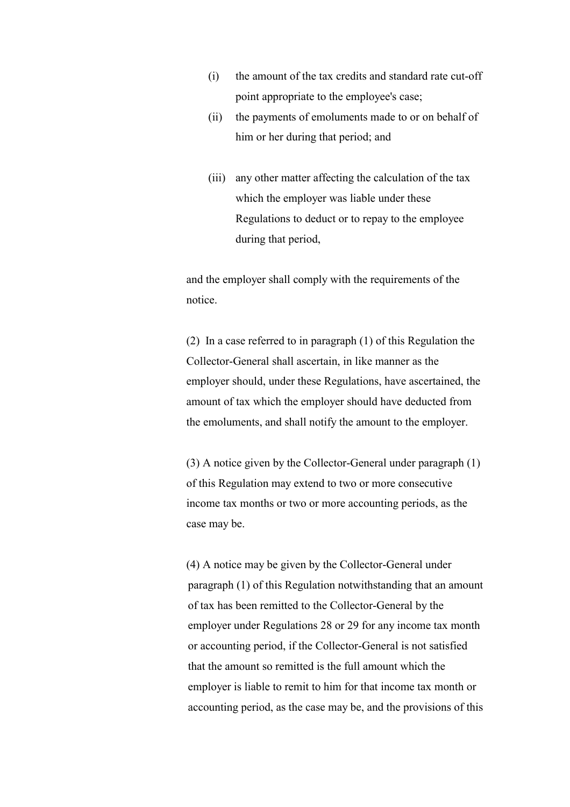- (i) the amount of the tax credits and standard rate cut-off point appropriate to the employee's case;
- (ii) the payments of emoluments made to or on behalf of him or her during that period; and
- (iii) any other matter affecting the calculation of the tax which the employer was liable under these Regulations to deduct or to repay to the employee during that period,

 and the employer shall comply with the requirements of the notice.

 (2) In a case referred to in paragraph (1) of this Regulation the Collector-General shall ascertain, in like manner as the employer should, under these Regulations, have ascertained, the amount of tax which the employer should have deducted from the emoluments, and shall notify the amount to the employer.

 (3) A notice given by the Collector-General under paragraph (1) of this Regulation may extend to two or more consecutive income tax months or two or more accounting periods, as the case may be.

 (4) A notice may be given by the Collector-General under paragraph (1) of this Regulation notwithstanding that an amount of tax has been remitted to the Collector-General by the employer under Regulations 28 or 29 for any income tax month or accounting period, if the Collector-General is not satisfied that the amount so remitted is the full amount which the employer is liable to remit to him for that income tax month or accounting period, as the case may be, and the provisions of this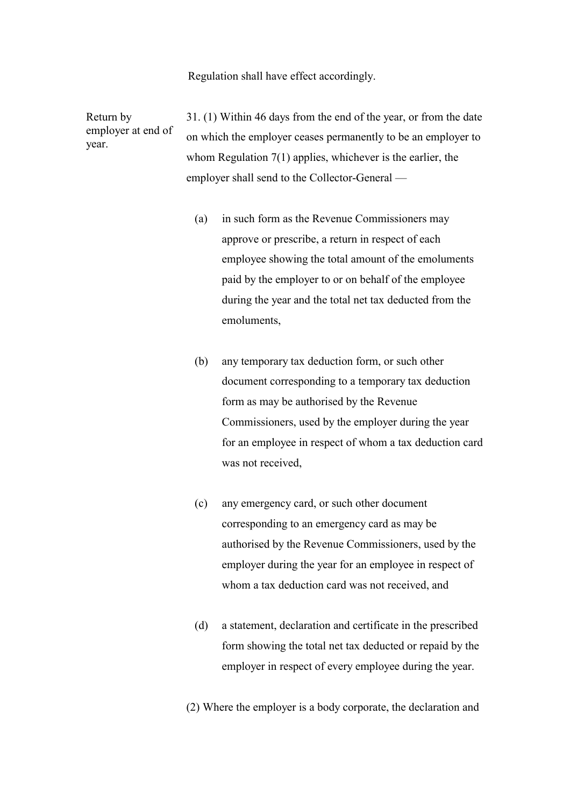Regulation shall have effect accordingly.

Return by employer at end of year. 31. (1) Within 46 days from the end of the year, or from the date on which the employer ceases permanently to be an employer to whom Regulation 7(1) applies, whichever is the earlier, the employer shall send to the Collector-General —

- (a) in such form as the Revenue Commissioners may approve or prescribe, a return in respect of each employee showing the total amount of the emoluments paid by the employer to or on behalf of the employee during the year and the total net tax deducted from the emoluments,
- (b) any temporary tax deduction form, or such other document corresponding to a temporary tax deduction form as may be authorised by the Revenue Commissioners, used by the employer during the year for an employee in respect of whom a tax deduction card was not received,
- (c) any emergency card, or such other document corresponding to an emergency card as may be authorised by the Revenue Commissioners, used by the employer during the year for an employee in respect of whom a tax deduction card was not received, and
- (d) a statement, declaration and certificate in the prescribed form showing the total net tax deducted or repaid by the employer in respect of every employee during the year.
- (2) Where the employer is a body corporate, the declaration and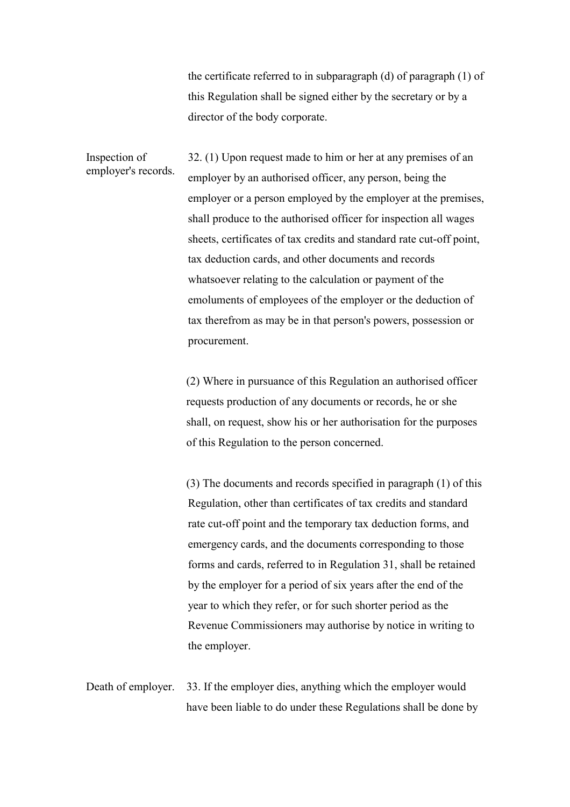the certificate referred to in subparagraph (d) of paragraph (1) of this Regulation shall be signed either by the secretary or by a director of the body corporate.

Inspection of employer's records. 32. (1) Upon request made to him or her at any premises of an employer by an authorised officer, any person, being the employer or a person employed by the employer at the premises, shall produce to the authorised officer for inspection all wages sheets, certificates of tax credits and standard rate cut-off point, tax deduction cards, and other documents and records whatsoever relating to the calculation or payment of the emoluments of employees of the employer or the deduction of tax therefrom as may be in that person's powers, possession or procurement.

> (2) Where in pursuance of this Regulation an authorised officer requests production of any documents or records, he or she shall, on request, show his or her authorisation for the purposes of this Regulation to the person concerned.

 (3) The documents and records specified in paragraph (1) of this Regulation, other than certificates of tax credits and standard rate cut-off point and the temporary tax deduction forms, and emergency cards, and the documents corresponding to those forms and cards, referred to in Regulation 31, shall be retained by the employer for a period of six years after the end of the year to which they refer, or for such shorter period as the Revenue Commissioners may authorise by notice in writing to the employer.

Death of employer. 33. If the employer dies, anything which the employer would have been liable to do under these Regulations shall be done by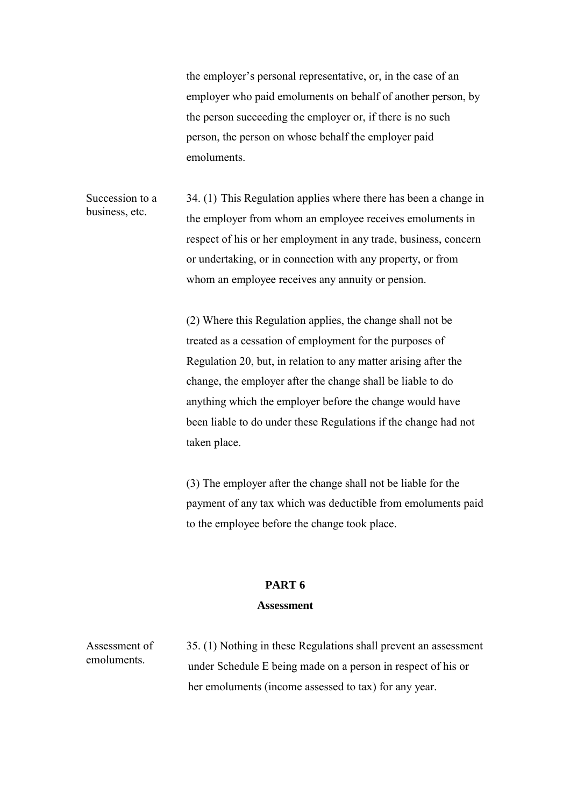the employer's personal representative, or, in the case of an employer who paid emoluments on behalf of another person, by the person succeeding the employer or, if there is no such person, the person on whose behalf the employer paid emoluments.

Succession to a business, etc. 34. (1) This Regulation applies where there has been a change in the employer from whom an employee receives emoluments in respect of his or her employment in any trade, business, concern or undertaking, or in connection with any property, or from whom an employee receives any annuity or pension.

> (2) Where this Regulation applies, the change shall not be treated as a cessation of employment for the purposes of Regulation 20, but, in relation to any matter arising after the change, the employer after the change shall be liable to do anything which the employer before the change would have been liable to do under these Regulations if the change had not taken place.

 (3) The employer after the change shall not be liable for the payment of any tax which was deductible from emoluments paid to the employee before the change took place.

# **PART 6**

### **Assessment**

Assessment of emoluments.

35. (1) Nothing in these Regulations shall prevent an assessment under Schedule E being made on a person in respect of his or her emoluments (income assessed to tax) for any year.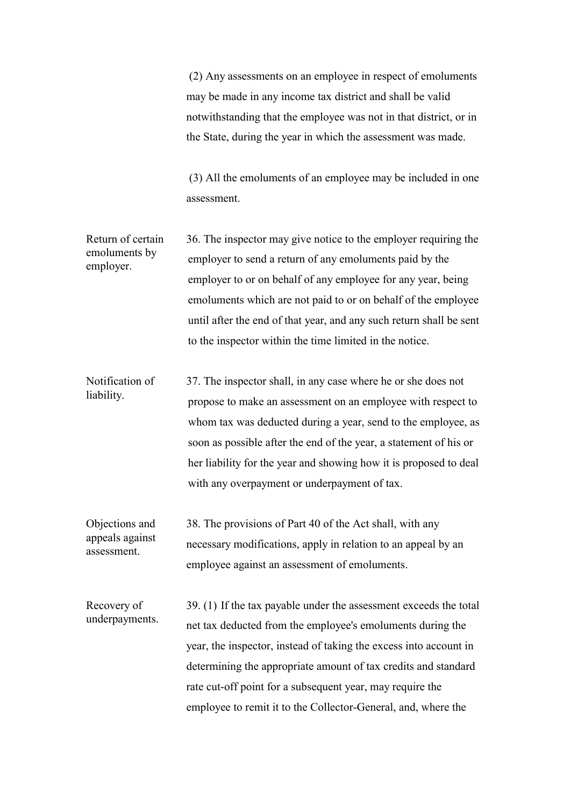(2) Any assessments on an employee in respect of emoluments may be made in any income tax district and shall be valid notwithstanding that the employee was not in that district, or in the State, during the year in which the assessment was made.

 (3) All the emoluments of an employee may be included in one assessment.

Return of certain emoluments by employer. 36. The inspector may give notice to the employer requiring the employer to send a return of any emoluments paid by the employer to or on behalf of any employee for any year, being emoluments which are not paid to or on behalf of the employee until after the end of that year, and any such return shall be sent to the inspector within the time limited in the notice.

Notification of liability. 37. The inspector shall, in any case where he or she does not propose to make an assessment on an employee with respect to whom tax was deducted during a year, send to the employee, as soon as possible after the end of the year, a statement of his or her liability for the year and showing how it is proposed to deal with any overpayment or underpayment of tax.

Objections and appeals against assessment. 38. The provisions of Part 40 of the Act shall, with any necessary modifications, apply in relation to an appeal by an employee against an assessment of emoluments.

Recovery of underpayments. 39. (1) If the tax payable under the assessment exceeds the total net tax deducted from the employee's emoluments during the year, the inspector, instead of taking the excess into account in determining the appropriate amount of tax credits and standard rate cut-off point for a subsequent year, may require the employee to remit it to the Collector-General, and, where the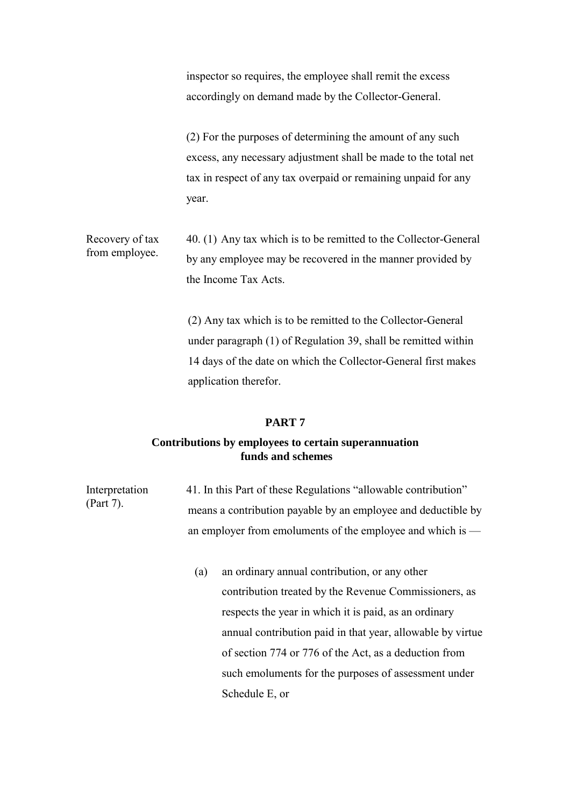inspector so requires, the employee shall remit the excess accordingly on demand made by the Collector-General.

 (2) For the purposes of determining the amount of any such excess, any necessary adjustment shall be made to the total net tax in respect of any tax overpaid or remaining unpaid for any year.

Recovery of tax from employee. 40. (1) Any tax which is to be remitted to the Collector-General by any employee may be recovered in the manner provided by the Income Tax Acts.

> (2) Any tax which is to be remitted to the Collector-General under paragraph (1) of Regulation 39, shall be remitted within 14 days of the date on which the Collector-General first makes application therefor.

### **PART 7**

# **Contributions by employees to certain superannuation funds and schemes**

Interpretation (Part 7). 41. In this Part of these Regulations "allowable contribution" means a contribution payable by an employee and deductible by an employer from emoluments of the employee and which is —

> (a) an ordinary annual contribution, or any other contribution treated by the Revenue Commissioners, as respects the year in which it is paid, as an ordinary annual contribution paid in that year, allowable by virtue of section 774 or 776 of the Act, as a deduction from such emoluments for the purposes of assessment under Schedule E, or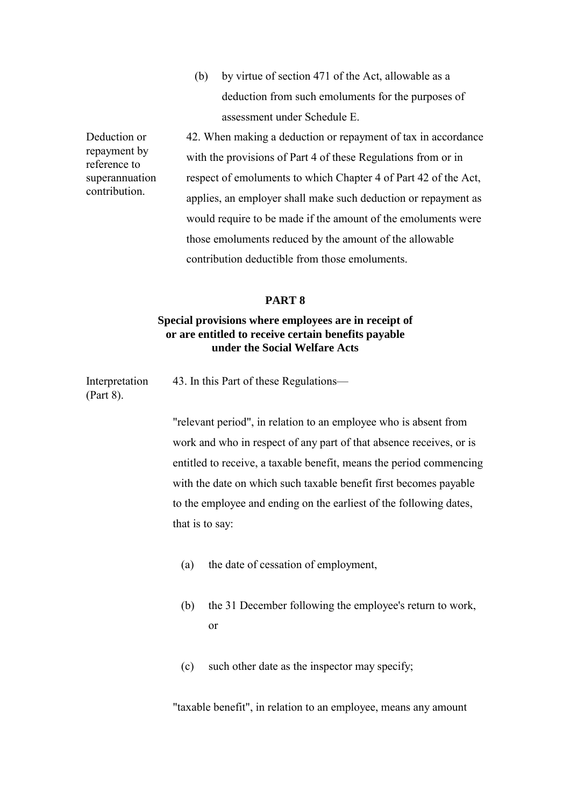(b) by virtue of section 471 of the Act, allowable as a deduction from such emoluments for the purposes of assessment under Schedule E.

42. When making a deduction or repayment of tax in accordance with the provisions of Part 4 of these Regulations from or in respect of emoluments to which Chapter 4 of Part 42 of the Act, applies, an employer shall make such deduction or repayment as would require to be made if the amount of the emoluments were those emoluments reduced by the amount of the allowable contribution deductible from those emoluments.

## **PART 8**

# **Special provisions where employees are in receipt of or are entitled to receive certain benefits payable under the Social Welfare Acts**

Interpretation (Part 8). 43. In this Part of these Regulations—

> "relevant period", in relation to an employee who is absent from work and who in respect of any part of that absence receives, or is entitled to receive, a taxable benefit, means the period commencing with the date on which such taxable benefit first becomes payable to the employee and ending on the earliest of the following dates, that is to say:

- (a) the date of cessation of employment,
- (b) the 31 December following the employee's return to work, or
- (c) such other date as the inspector may specify;

"taxable benefit", in relation to an employee, means any amount

Deduction or repayment by reference to superannuation contribution.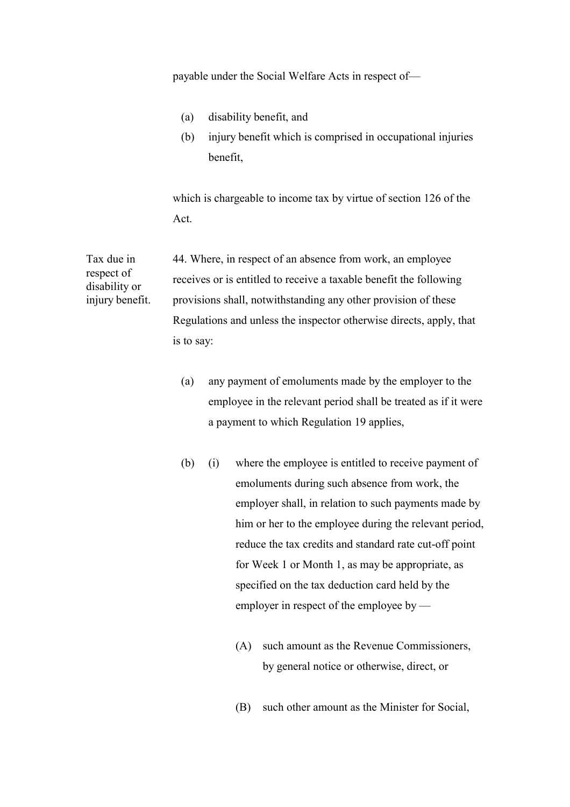payable under the Social Welfare Acts in respect of—

- (a) disability benefit, and
- (b) injury benefit which is comprised in occupational injuries benefit,

 which is chargeable to income tax by virtue of section 126 of the Act.

44. Where, in respect of an absence from work, an employee receives or is entitled to receive a taxable benefit the following provisions shall, notwithstanding any other provision of these Regulations and unless the inspector otherwise directs, apply, that is to say:

- (a) any payment of emoluments made by the employer to the employee in the relevant period shall be treated as if it were a payment to which Regulation 19 applies,
- (b) (i) where the employee is entitled to receive payment of emoluments during such absence from work, the employer shall, in relation to such payments made by him or her to the employee during the relevant period, reduce the tax credits and standard rate cut-off point for Week 1 or Month 1, as may be appropriate, as specified on the tax deduction card held by the employer in respect of the employee by —
	- (A) such amount as the Revenue Commissioners, by general notice or otherwise, direct, or
	- (B) such other amount as the Minister for Social,

Tax due in respect of disability or injury benefit.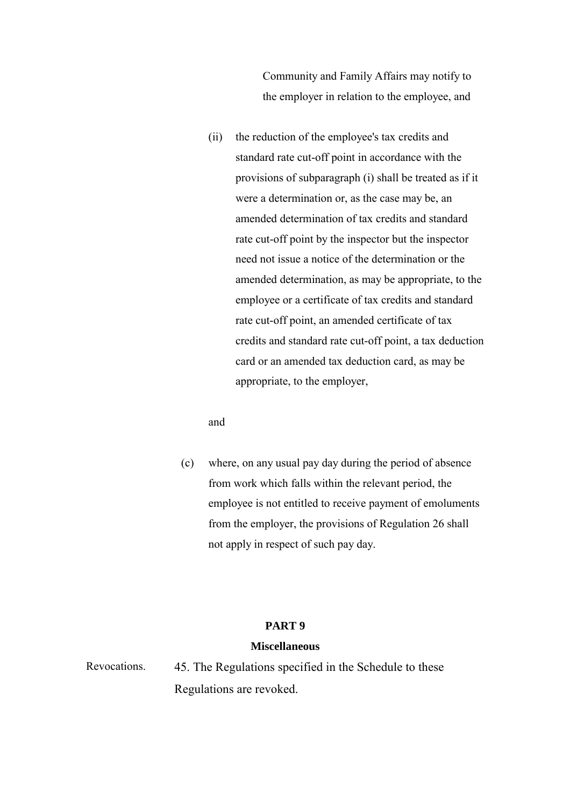Community and Family Affairs may notify to the employer in relation to the employee, and

 (ii) the reduction of the employee's tax credits and standard rate cut-off point in accordance with the provisions of subparagraph (i) shall be treated as if it were a determination or, as the case may be, an amended determination of tax credits and standard rate cut-off point by the inspector but the inspector need not issue a notice of the determination or the amended determination, as may be appropriate, to the employee or a certificate of tax credits and standard rate cut-off point, an amended certificate of tax credits and standard rate cut-off point, a tax deduction card or an amended tax deduction card, as may be appropriate, to the employer,

and

 (c) where, on any usual pay day during the period of absence from work which falls within the relevant period, the employee is not entitled to receive payment of emoluments from the employer, the provisions of Regulation 26 shall not apply in respect of such pay day.

# **PART 9**

## **Miscellaneous**

Revocations. 45. The Regulations specified in the Schedule to these Regulations are revoked.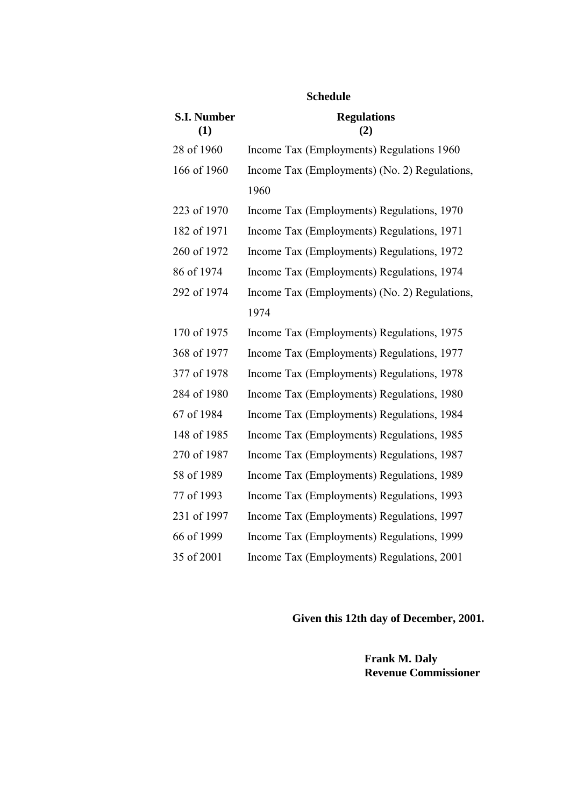| <b>S.I. Number</b><br>(1) | <b>Regulations</b><br>(2)                     |
|---------------------------|-----------------------------------------------|
| 28 of 1960                | Income Tax (Employments) Regulations 1960     |
| 166 of 1960               | Income Tax (Employments) (No. 2) Regulations, |
|                           | 1960                                          |
| 223 of 1970               | Income Tax (Employments) Regulations, 1970    |
| 182 of 1971               | Income Tax (Employments) Regulations, 1971    |
| 260 of 1972               | Income Tax (Employments) Regulations, 1972    |
| 86 of 1974                | Income Tax (Employments) Regulations, 1974    |
| 292 of 1974               | Income Tax (Employments) (No. 2) Regulations, |
|                           | 1974                                          |
| 170 of 1975               | Income Tax (Employments) Regulations, 1975    |
| 368 of 1977               | Income Tax (Employments) Regulations, 1977    |
| 377 of 1978               | Income Tax (Employments) Regulations, 1978    |
| 284 of 1980               | Income Tax (Employments) Regulations, 1980    |
| 67 of 1984                | Income Tax (Employments) Regulations, 1984    |
| 148 of 1985               | Income Tax (Employments) Regulations, 1985    |
| 270 of 1987               | Income Tax (Employments) Regulations, 1987    |
| 58 of 1989                | Income Tax (Employments) Regulations, 1989    |
| 77 of 1993                | Income Tax (Employments) Regulations, 1993    |
| 231 of 1997               | Income Tax (Employments) Regulations, 1997    |
| 66 of 1999                | Income Tax (Employments) Regulations, 1999    |
| 35 of 2001                | Income Tax (Employments) Regulations, 2001    |

# **Schedule**

**Given this 12th day of December, 2001.** 

 **Frank M. Daly Revenue Commissioner**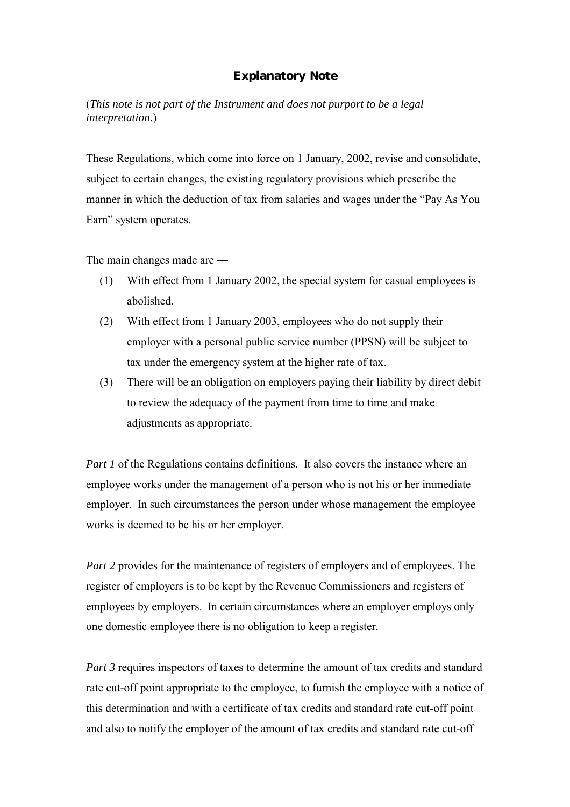# **Explanatory Note**

(*This note is not part of the Instrument and does not purport to be a legal interpretation*.)

These Regulations, which come into force on 1 January, 2002, revise and consolidate, subject to certain changes, the existing regulatory provisions which prescribe the manner in which the deduction of tax from salaries and wages under the "Pay As You Earn" system operates.

The main changes made are ―

- (1) With effect from 1 January 2002, the special system for casual employees is abolished.
- (2) With effect from 1 January 2003, employees who do not supply their employer with a personal public service number (PPSN) will be subject to tax under the emergency system at the higher rate of tax.
- (3) There will be an obligation on employers paying their liability by direct debit to review the adequacy of the payment from time to time and make adjustments as appropriate.

*Part 1* of the Regulations contains definitions. It also covers the instance where an employee works under the management of a person who is not his or her immediate employer. In such circumstances the person under whose management the employee works is deemed to be his or her employer.

*Part 2* provides for the maintenance of registers of employers and of employees. The register of employers is to be kept by the Revenue Commissioners and registers of employees by employers. In certain circumstances where an employer employs only one domestic employee there is no obligation to keep a register.

*Part 3* requires inspectors of taxes to determine the amount of tax credits and standard rate cut-off point appropriate to the employee, to furnish the employee with a notice of this determination and with a certificate of tax credits and standard rate cut-off point and also to notify the employer of the amount of tax credits and standard rate cut-off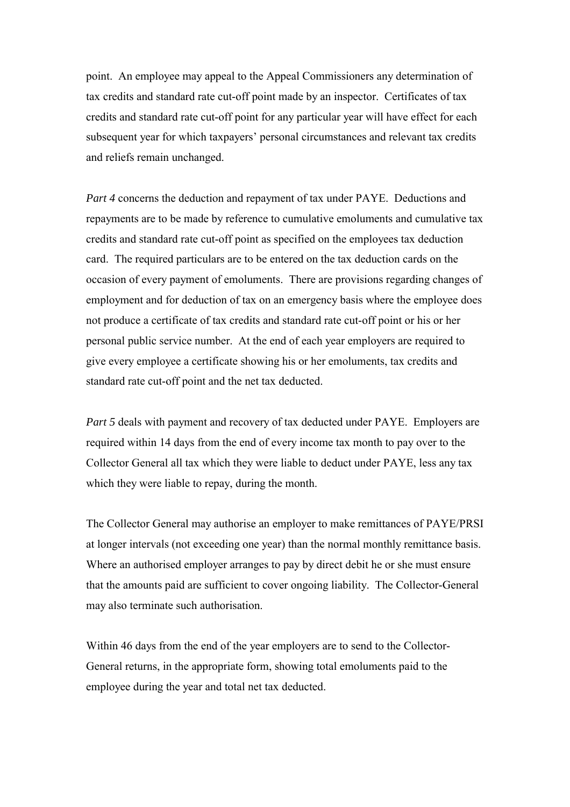point. An employee may appeal to the Appeal Commissioners any determination of tax credits and standard rate cut-off point made by an inspector. Certificates of tax credits and standard rate cut-off point for any particular year will have effect for each subsequent year for which taxpayers' personal circumstances and relevant tax credits and reliefs remain unchanged.

*Part 4* concerns the deduction and repayment of tax under PAYE. Deductions and repayments are to be made by reference to cumulative emoluments and cumulative tax credits and standard rate cut-off point as specified on the employees tax deduction card. The required particulars are to be entered on the tax deduction cards on the occasion of every payment of emoluments. There are provisions regarding changes of employment and for deduction of tax on an emergency basis where the employee does not produce a certificate of tax credits and standard rate cut-off point or his or her personal public service number. At the end of each year employers are required to give every employee a certificate showing his or her emoluments, tax credits and standard rate cut-off point and the net tax deducted.

*Part 5* deals with payment and recovery of tax deducted under PAYE. Employers are required within 14 days from the end of every income tax month to pay over to the Collector General all tax which they were liable to deduct under PAYE, less any tax which they were liable to repay, during the month.

The Collector General may authorise an employer to make remittances of PAYE/PRSI at longer intervals (not exceeding one year) than the normal monthly remittance basis. Where an authorised employer arranges to pay by direct debit he or she must ensure that the amounts paid are sufficient to cover ongoing liability. The Collector-General may also terminate such authorisation.

Within 46 days from the end of the year employers are to send to the Collector-General returns, in the appropriate form, showing total emoluments paid to the employee during the year and total net tax deducted.